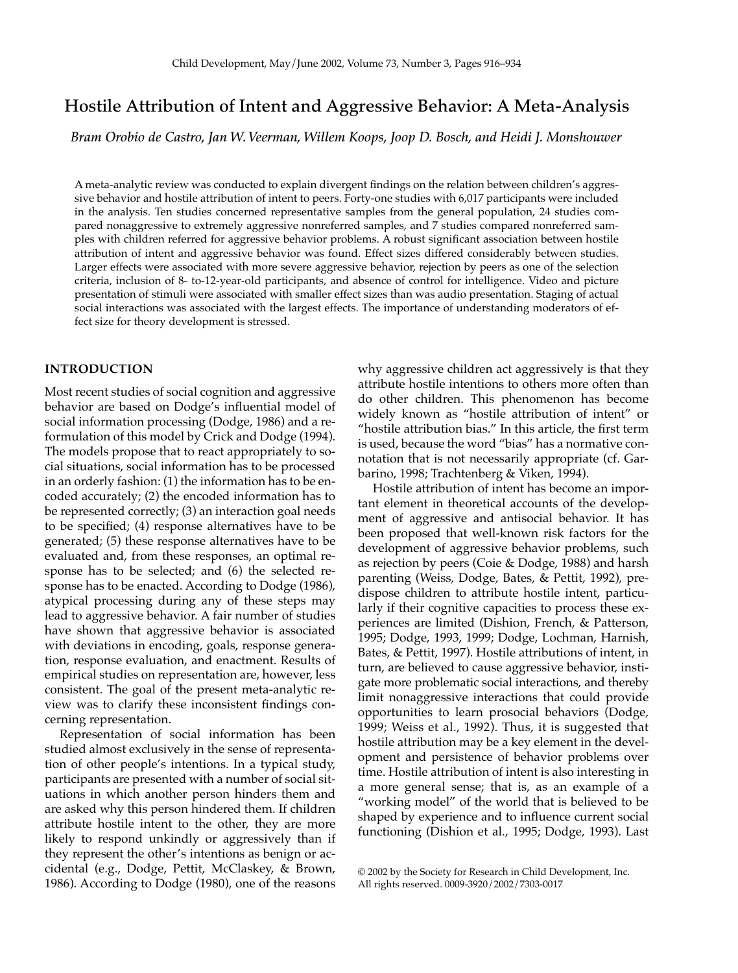# **Hostile Attribution of Intent and Aggressive Behavior: A Meta-Analysis**

*Bram Orobio de Castro, Jan W. Veerman, Willem Koops, Joop D. Bosch, and Heidi J. Monshouwer* 

A meta-analytic review was conducted to explain divergent findings on the relation between children's aggressive behavior and hostile attribution of intent to peers. Forty-one studies with 6,017 participants were included in the analysis. Ten studies concerned representative samples from the general population, 24 studies compared nonaggressive to extremely aggressive nonreferred samples, and 7 studies compared nonreferred samples with children referred for aggressive behavior problems. A robust significant association between hostile attribution of intent and aggressive behavior was found. Effect sizes differed considerably between studies. Larger effects were associated with more severe aggressive behavior, rejection by peers as one of the selection criteria, inclusion of 8- to-12-year-old participants, and absence of control for intelligence. Video and picture presentation of stimuli were associated with smaller effect sizes than was audio presentation. Staging of actual social interactions was associated with the largest effects. The importance of understanding moderators of effect size for theory development is stressed.

# **INTRODUCTION**

Most recent studies of social cognition and aggressive behavior are based on Dodge's influential model of social information processing (Dodge, 1986) and a reformulation of this model by Crick and Dodge (1994). The models propose that to react appropriately to social situations, social information has to be processed in an orderly fashion: (1) the information has to be encoded accurately; (2) the encoded information has to be represented correctly; (3) an interaction goal needs to be specified; (4) response alternatives have to be generated; (5) these response alternatives have to be evaluated and, from these responses, an optimal response has to be selected; and (6) the selected response has to be enacted. According to Dodge (1986), atypical processing during any of these steps may lead to aggressive behavior. A fair number of studies have shown that aggressive behavior is associated with deviations in encoding, goals, response generation, response evaluation, and enactment. Results of empirical studies on representation are, however, less consistent. The goal of the present meta-analytic review was to clarify these inconsistent findings concerning representation.

Representation of social information has been studied almost exclusively in the sense of representation of other people's intentions. In a typical study, participants are presented with a number of social situations in which another person hinders them and are asked why this person hindered them. If children attribute hostile intent to the other, they are more likely to respond unkindly or aggressively than if they represent the other's intentions as benign or accidental (e.g., Dodge, Pettit, McClaskey, & Brown, 1986). According to Dodge (1980), one of the reasons why aggressive children act aggressively is that they attribute hostile intentions to others more often than do other children. This phenomenon has become widely known as "hostile attribution of intent" or "hostile attribution bias." In this article, the first term is used, because the word "bias" has a normative connotation that is not necessarily appropriate (cf. Garbarino, 1998; Trachtenberg & Viken, 1994).

Hostile attribution of intent has become an important element in theoretical accounts of the development of aggressive and antisocial behavior. It has been proposed that well-known risk factors for the development of aggressive behavior problems, such as rejection by peers (Coie & Dodge, 1988) and harsh parenting (Weiss, Dodge, Bates, & Pettit, 1992), predispose children to attribute hostile intent, particularly if their cognitive capacities to process these experiences are limited (Dishion, French, & Patterson, 1995; Dodge, 1993, 1999; Dodge, Lochman, Harnish, Bates, & Pettit, 1997). Hostile attributions of intent, in turn, are believed to cause aggressive behavior, instigate more problematic social interactions, and thereby limit nonaggressive interactions that could provide opportunities to learn prosocial behaviors (Dodge, 1999; Weiss et al., 1992). Thus, it is suggested that hostile attribution may be a key element in the development and persistence of behavior problems over time. Hostile attribution of intent is also interesting in a more general sense; that is, as an example of a "working model" of the world that is believed to be shaped by experience and to influence current social functioning (Dishion et al., 1995; Dodge, 1993). Last

<sup>© 2002</sup> by the Society for Research in Child Development, Inc. All rights reserved. 0009-3920/2002/7303-0017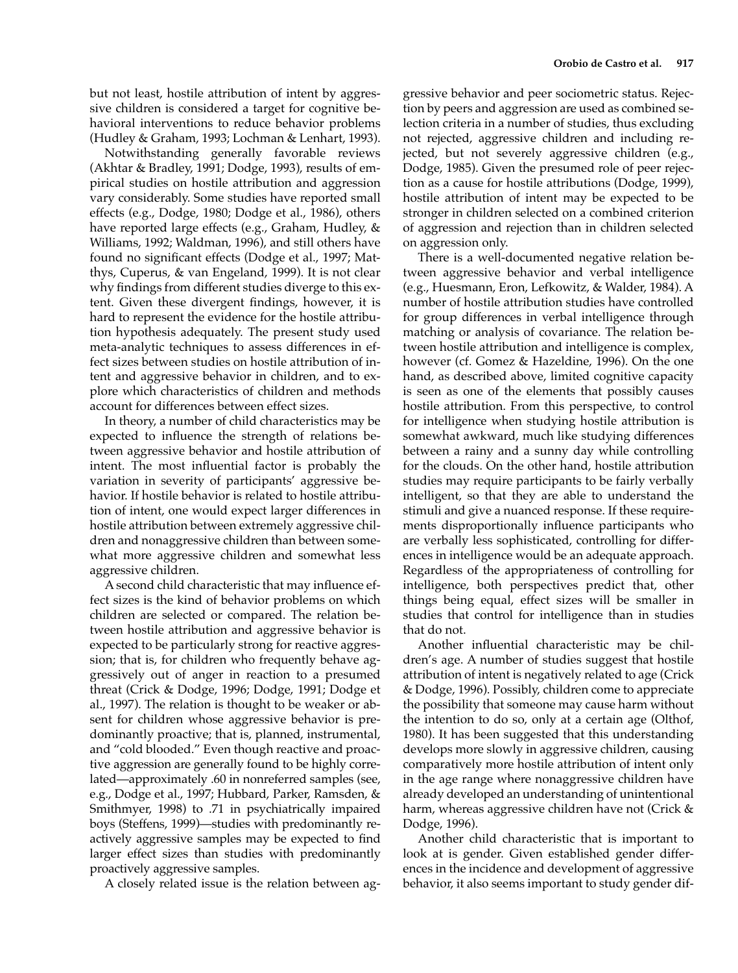but not least, hostile attribution of intent by aggressive children is considered a target for cognitive behavioral interventions to reduce behavior problems (Hudley & Graham, 1993; Lochman & Lenhart, 1993).

Notwithstanding generally favorable reviews (Akhtar & Bradley, 1991; Dodge, 1993), results of empirical studies on hostile attribution and aggression vary considerably. Some studies have reported small effects (e.g., Dodge, 1980; Dodge et al., 1986), others have reported large effects (e.g., Graham, Hudley, & Williams, 1992; Waldman, 1996), and still others have found no significant effects (Dodge et al., 1997; Matthys, Cuperus, & van Engeland, 1999). It is not clear why findings from different studies diverge to this extent. Given these divergent findings, however, it is hard to represent the evidence for the hostile attribution hypothesis adequately. The present study used meta-analytic techniques to assess differences in effect sizes between studies on hostile attribution of intent and aggressive behavior in children, and to explore which characteristics of children and methods account for differences between effect sizes.

In theory, a number of child characteristics may be expected to influence the strength of relations between aggressive behavior and hostile attribution of intent. The most influential factor is probably the variation in severity of participants' aggressive behavior. If hostile behavior is related to hostile attribution of intent, one would expect larger differences in hostile attribution between extremely aggressive children and nonaggressive children than between somewhat more aggressive children and somewhat less aggressive children.

A second child characteristic that may influence effect sizes is the kind of behavior problems on which children are selected or compared. The relation between hostile attribution and aggressive behavior is expected to be particularly strong for reactive aggression; that is, for children who frequently behave aggressively out of anger in reaction to a presumed threat (Crick & Dodge, 1996; Dodge, 1991; Dodge et al., 1997). The relation is thought to be weaker or absent for children whose aggressive behavior is predominantly proactive; that is, planned, instrumental, and "cold blooded." Even though reactive and proactive aggression are generally found to be highly correlated—approximately .60 in nonreferred samples (see, e.g., Dodge et al., 1997; Hubbard, Parker, Ramsden, & Smithmyer, 1998) to .71 in psychiatrically impaired boys (Steffens, 1999)—studies with predominantly reactively aggressive samples may be expected to find larger effect sizes than studies with predominantly proactively aggressive samples.

A closely related issue is the relation between ag-

gressive behavior and peer sociometric status. Rejection by peers and aggression are used as combined selection criteria in a number of studies, thus excluding not rejected, aggressive children and including rejected, but not severely aggressive children (e.g., Dodge, 1985). Given the presumed role of peer rejection as a cause for hostile attributions (Dodge, 1999), hostile attribution of intent may be expected to be stronger in children selected on a combined criterion of aggression and rejection than in children selected on aggression only.

There is a well-documented negative relation between aggressive behavior and verbal intelligence (e.g., Huesmann, Eron, Lefkowitz, & Walder, 1984). A number of hostile attribution studies have controlled for group differences in verbal intelligence through matching or analysis of covariance. The relation between hostile attribution and intelligence is complex, however (cf. Gomez & Hazeldine, 1996). On the one hand, as described above, limited cognitive capacity is seen as one of the elements that possibly causes hostile attribution. From this perspective, to control for intelligence when studying hostile attribution is somewhat awkward, much like studying differences between a rainy and a sunny day while controlling for the clouds. On the other hand, hostile attribution studies may require participants to be fairly verbally intelligent, so that they are able to understand the stimuli and give a nuanced response. If these requirements disproportionally influence participants who are verbally less sophisticated, controlling for differences in intelligence would be an adequate approach. Regardless of the appropriateness of controlling for intelligence, both perspectives predict that, other things being equal, effect sizes will be smaller in studies that control for intelligence than in studies that do not.

Another influential characteristic may be children's age. A number of studies suggest that hostile attribution of intent is negatively related to age (Crick & Dodge, 1996). Possibly, children come to appreciate the possibility that someone may cause harm without the intention to do so, only at a certain age (Olthof, 1980). It has been suggested that this understanding develops more slowly in aggressive children, causing comparatively more hostile attribution of intent only in the age range where nonaggressive children have already developed an understanding of unintentional harm, whereas aggressive children have not (Crick & Dodge, 1996).

Another child characteristic that is important to look at is gender. Given established gender differences in the incidence and development of aggressive behavior, it also seems important to study gender dif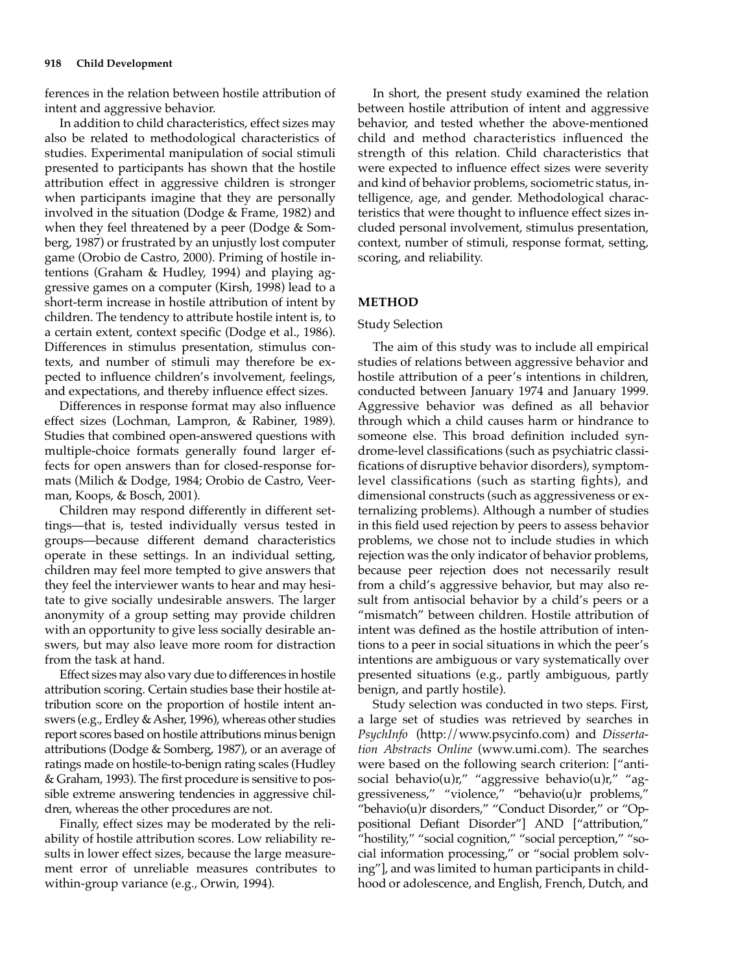ferences in the relation between hostile attribution of intent and aggressive behavior.

In addition to child characteristics, effect sizes may also be related to methodological characteristics of studies. Experimental manipulation of social stimuli presented to participants has shown that the hostile attribution effect in aggressive children is stronger when participants imagine that they are personally involved in the situation (Dodge & Frame, 1982) and when they feel threatened by a peer (Dodge & Somberg, 1987) or frustrated by an unjustly lost computer game (Orobio de Castro, 2000). Priming of hostile intentions (Graham & Hudley, 1994) and playing aggressive games on a computer (Kirsh, 1998) lead to a short-term increase in hostile attribution of intent by children. The tendency to attribute hostile intent is, to a certain extent, context specific (Dodge et al., 1986). Differences in stimulus presentation, stimulus contexts, and number of stimuli may therefore be expected to influence children's involvement, feelings, and expectations, and thereby influence effect sizes.

Differences in response format may also influence effect sizes (Lochman, Lampron, & Rabiner, 1989). Studies that combined open-answered questions with multiple-choice formats generally found larger effects for open answers than for closed-response formats (Milich & Dodge, 1984; Orobio de Castro, Veerman, Koops, & Bosch, 2001).

Children may respond differently in different settings—that is, tested individually versus tested in groups—because different demand characteristics operate in these settings. In an individual setting, children may feel more tempted to give answers that they feel the interviewer wants to hear and may hesitate to give socially undesirable answers. The larger anonymity of a group setting may provide children with an opportunity to give less socially desirable answers, but may also leave more room for distraction from the task at hand.

Effect sizes may also vary due to differences in hostile attribution scoring. Certain studies base their hostile attribution score on the proportion of hostile intent answers (e.g., Erdley & Asher, 1996), whereas other studies report scores based on hostile attributions minus benign attributions (Dodge & Somberg, 1987), or an average of ratings made on hostile-to-benign rating scales (Hudley & Graham, 1993). The first procedure is sensitive to possible extreme answering tendencies in aggressive children, whereas the other procedures are not.

Finally, effect sizes may be moderated by the reliability of hostile attribution scores. Low reliability results in lower effect sizes, because the large measurement error of unreliable measures contributes to within-group variance (e.g., Orwin, 1994).

In short, the present study examined the relation between hostile attribution of intent and aggressive behavior, and tested whether the above-mentioned child and method characteristics influenced the strength of this relation. Child characteristics that were expected to influence effect sizes were severity and kind of behavior problems, sociometric status, intelligence, age, and gender. Methodological characteristics that were thought to influence effect sizes included personal involvement, stimulus presentation, context, number of stimuli, response format, setting, scoring, and reliability.

# **METHOD**

# Study Selection

The aim of this study was to include all empirical studies of relations between aggressive behavior and hostile attribution of a peer's intentions in children, conducted between January 1974 and January 1999. Aggressive behavior was defined as all behavior through which a child causes harm or hindrance to someone else. This broad definition included syndrome-level classifications (such as psychiatric classifications of disruptive behavior disorders), symptomlevel classifications (such as starting fights), and dimensional constructs (such as aggressiveness or externalizing problems). Although a number of studies in this field used rejection by peers to assess behavior problems, we chose not to include studies in which rejection was the only indicator of behavior problems, because peer rejection does not necessarily result from a child's aggressive behavior, but may also result from antisocial behavior by a child's peers or a "mismatch" between children. Hostile attribution of intent was defined as the hostile attribution of intentions to a peer in social situations in which the peer's intentions are ambiguous or vary systematically over presented situations (e.g., partly ambiguous, partly benign, and partly hostile).

Study selection was conducted in two steps. First, a large set of studies was retrieved by searches in *PsychInfo* (http://www.psycinfo.com) and *Dissertation Abstracts Online* (www.umi.com). The searches were based on the following search criterion: ["antisocial behavio(u)r," "aggressive behavio(u)r," "aggressiveness," "violence," "behavio(u)r problems," "behavio(u)r disorders," "Conduct Disorder," or "Oppositional Defiant Disorder"] AND ["attribution," "hostility," "social cognition," "social perception," "social information processing," or "social problem solving"], and was limited to human participants in childhood or adolescence, and English, French, Dutch, and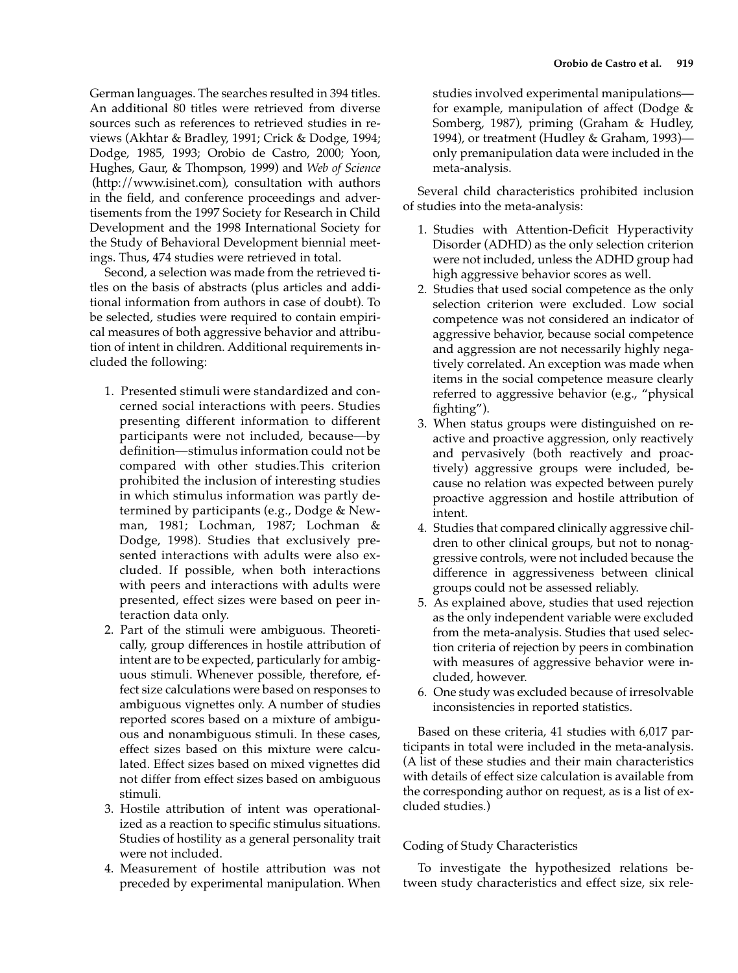German languages. The searches resulted in 394 titles. An additional 80 titles were retrieved from diverse sources such as references to retrieved studies in reviews (Akhtar & Bradley, 1991; Crick & Dodge, 1994; Dodge, 1985, 1993; Orobio de Castro, 2000; Yoon, Hughes, Gaur, & Thompson, 1999) and *Web of Science* (http://www.isinet.com), consultation with authors in the field, and conference proceedings and advertisements from the 1997 Society for Research in Child Development and the 1998 International Society for the Study of Behavioral Development biennial meetings. Thus, 474 studies were retrieved in total.

Second, a selection was made from the retrieved titles on the basis of abstracts (plus articles and additional information from authors in case of doubt). To be selected, studies were required to contain empirical measures of both aggressive behavior and attribution of intent in children. Additional requirements included the following:

- 1. Presented stimuli were standardized and concerned social interactions with peers. Studies presenting different information to different participants were not included, because—by definition—stimulus information could not be compared with other studies.This criterion prohibited the inclusion of interesting studies in which stimulus information was partly determined by participants (e.g., Dodge & Newman, 1981; Lochman, 1987; Lochman & Dodge, 1998). Studies that exclusively presented interactions with adults were also excluded. If possible, when both interactions with peers and interactions with adults were presented, effect sizes were based on peer interaction data only.
- 2. Part of the stimuli were ambiguous. Theoretically, group differences in hostile attribution of intent are to be expected, particularly for ambiguous stimuli. Whenever possible, therefore, effect size calculations were based on responses to ambiguous vignettes only. A number of studies reported scores based on a mixture of ambiguous and nonambiguous stimuli. In these cases, effect sizes based on this mixture were calculated. Effect sizes based on mixed vignettes did not differ from effect sizes based on ambiguous stimuli.
- 3. Hostile attribution of intent was operationalized as a reaction to specific stimulus situations. Studies of hostility as a general personality trait were not included.
- 4. Measurement of hostile attribution was not preceded by experimental manipulation. When

studies involved experimental manipulations for example, manipulation of affect (Dodge & Somberg, 1987), priming (Graham & Hudley, 1994), or treatment (Hudley & Graham, 1993) only premanipulation data were included in the meta-analysis.

Several child characteristics prohibited inclusion of studies into the meta-analysis:

- 1. Studies with Attention-Deficit Hyperactivity Disorder (ADHD) as the only selection criterion were not included, unless the ADHD group had high aggressive behavior scores as well.
- 2. Studies that used social competence as the only selection criterion were excluded. Low social competence was not considered an indicator of aggressive behavior, because social competence and aggression are not necessarily highly negatively correlated. An exception was made when items in the social competence measure clearly referred to aggressive behavior (e.g., "physical fighting").
- 3. When status groups were distinguished on reactive and proactive aggression, only reactively and pervasively (both reactively and proactively) aggressive groups were included, because no relation was expected between purely proactive aggression and hostile attribution of intent.
- 4. Studies that compared clinically aggressive children to other clinical groups, but not to nonaggressive controls, were not included because the difference in aggressiveness between clinical groups could not be assessed reliably.
- 5. As explained above, studies that used rejection as the only independent variable were excluded from the meta-analysis. Studies that used selection criteria of rejection by peers in combination with measures of aggressive behavior were included, however.
- 6. One study was excluded because of irresolvable inconsistencies in reported statistics.

Based on these criteria, 41 studies with 6,017 participants in total were included in the meta-analysis. (A list of these studies and their main characteristics with details of effect size calculation is available from the corresponding author on request, as is a list of excluded studies.)

# Coding of Study Characteristics

To investigate the hypothesized relations between study characteristics and effect size, six rele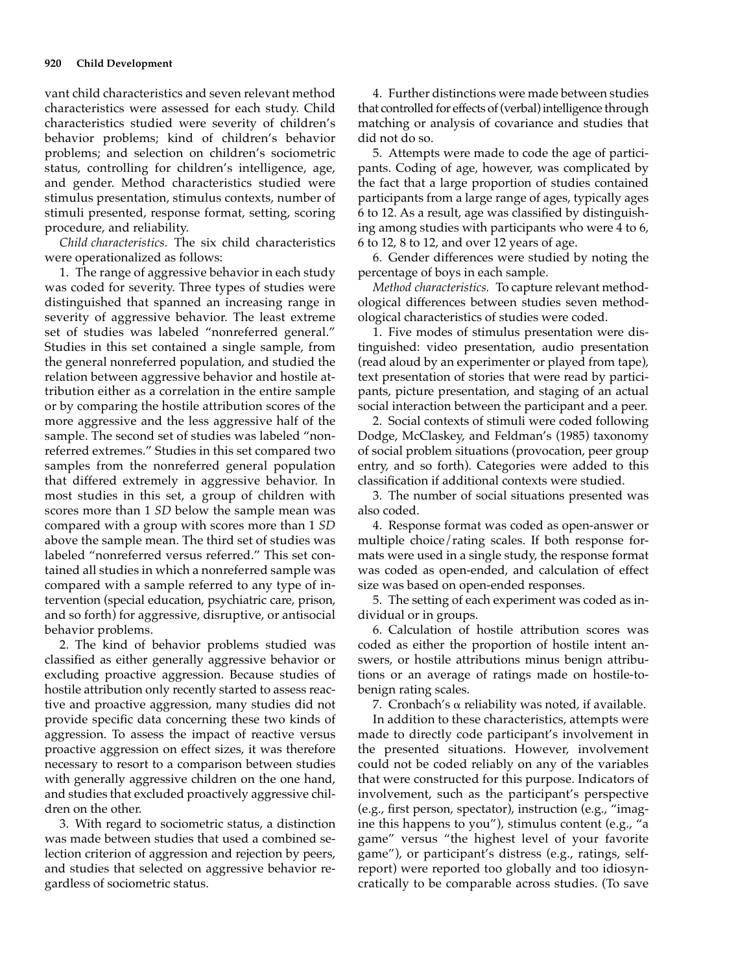vant child characteristics and seven relevant method characteristics were assessed for each study. Child characteristics studied were severity of children's behavior problems; kind of children's behavior problems; and selection on children's sociometric status, controlling for children's intelligence, age, and gender. Method characteristics studied were stimulus presentation, stimulus contexts, number of stimuli presented, response format, setting, scoring procedure, and reliability.

*Child characteristics.* The six child characteristics were operationalized as follows:

1. The range of aggressive behavior in each study was coded for severity. Three types of studies were distinguished that spanned an increasing range in severity of aggressive behavior. The least extreme set of studies was labeled "nonreferred general." Studies in this set contained a single sample, from the general nonreferred population, and studied the relation between aggressive behavior and hostile attribution either as a correlation in the entire sample or by comparing the hostile attribution scores of the more aggressive and the less aggressive half of the sample. The second set of studies was labeled "nonreferred extremes." Studies in this set compared two samples from the nonreferred general population that differed extremely in aggressive behavior. In most studies in this set, a group of children with scores more than 1 *SD* below the sample mean was compared with a group with scores more than 1 *SD* above the sample mean. The third set of studies was labeled "nonreferred versus referred." This set contained all studies in which a nonreferred sample was compared with a sample referred to any type of intervention (special education, psychiatric care, prison, and so forth) for aggressive, disruptive, or antisocial behavior problems.

2. The kind of behavior problems studied was classified as either generally aggressive behavior or excluding proactive aggression. Because studies of hostile attribution only recently started to assess reactive and proactive aggression, many studies did not provide specific data concerning these two kinds of aggression. To assess the impact of reactive versus proactive aggression on effect sizes, it was therefore necessary to resort to a comparison between studies with generally aggressive children on the one hand, and studies that excluded proactively aggressive children on the other.

3. With regard to sociometric status, a distinction was made between studies that used a combined selection criterion of aggression and rejection by peers, and studies that selected on aggressive behavior regardless of sociometric status.

4. Further distinctions were made between studies that controlled for effects of (verbal) intelligence through matching or analysis of covariance and studies that did not do so.

5. Attempts were made to code the age of participants. Coding of age, however, was complicated by the fact that a large proportion of studies contained participants from a large range of ages, typically ages 6 to 12. As a result, age was classified by distinguishing among studies with participants who were 4 to 6, 6 to 12, 8 to 12, and over 12 years of age.

6. Gender differences were studied by noting the percentage of boys in each sample.

*Method characteristics.* To capture relevant methodological differences between studies seven methodological characteristics of studies were coded.

1. Five modes of stimulus presentation were distinguished: video presentation, audio presentation (read aloud by an experimenter or played from tape), text presentation of stories that were read by participants, picture presentation, and staging of an actual social interaction between the participant and a peer.

2. Social contexts of stimuli were coded following Dodge, McClaskey, and Feldman's (1985) taxonomy of social problem situations (provocation, peer group entry, and so forth). Categories were added to this classification if additional contexts were studied.

3. The number of social situations presented was also coded.

4. Response format was coded as open-answer or multiple choice/rating scales. If both response formats were used in a single study, the response format was coded as open-ended, and calculation of effect size was based on open-ended responses.

5. The setting of each experiment was coded as individual or in groups.

6. Calculation of hostile attribution scores was coded as either the proportion of hostile intent answers, or hostile attributions minus benign attributions or an average of ratings made on hostile-tobenign rating scales.

7. Cronbach's  $\alpha$  reliability was noted, if available.

In addition to these characteristics, attempts were made to directly code participant's involvement in the presented situations. However, involvement could not be coded reliably on any of the variables that were constructed for this purpose. Indicators of involvement, such as the participant's perspective (e.g., first person, spectator), instruction (e.g., "imagine this happens to you"), stimulus content (e.g., "a game" versus "the highest level of your favorite game"), or participant's distress (e.g., ratings, selfreport) were reported too globally and too idiosyncratically to be comparable across studies. (To save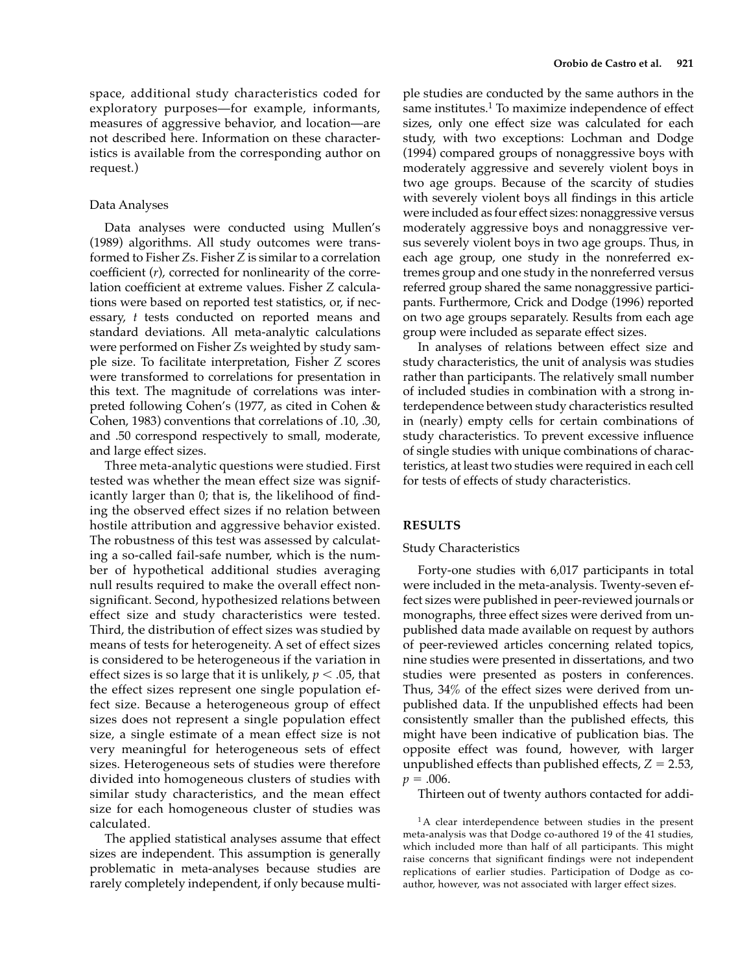space, additional study characteristics coded for exploratory purposes—for example, informants, measures of aggressive behavior, and location—are not described here. Information on these characteristics is available from the corresponding author on request.)

### Data Analyses

Data analyses were conducted using Mullen's (1989) algorithms. All study outcomes were transformed to Fisher *Z*s. Fisher *Z* is similar to a correlation coefficient (*r*), corrected for nonlinearity of the correlation coefficient at extreme values. Fisher *Z* calculations were based on reported test statistics, or, if necessary, *t* tests conducted on reported means and standard deviations. All meta-analytic calculations were performed on Fisher *Z*s weighted by study sample size. To facilitate interpretation, Fisher *Z* scores were transformed to correlations for presentation in this text. The magnitude of correlations was interpreted following Cohen's (1977, as cited in Cohen & Cohen, 1983) conventions that correlations of .10, .30, and .50 correspond respectively to small, moderate, and large effect sizes.

Three meta-analytic questions were studied. First tested was whether the mean effect size was significantly larger than 0; that is, the likelihood of finding the observed effect sizes if no relation between hostile attribution and aggressive behavior existed. The robustness of this test was assessed by calculating a so-called fail-safe number, which is the number of hypothetical additional studies averaging null results required to make the overall effect nonsignificant. Second, hypothesized relations between effect size and study characteristics were tested. Third, the distribution of effect sizes was studied by means of tests for heterogeneity. A set of effect sizes is considered to be heterogeneous if the variation in effect sizes is so large that it is unlikely,  $p < .05$ , that the effect sizes represent one single population effect size. Because a heterogeneous group of effect sizes does not represent a single population effect size, a single estimate of a mean effect size is not very meaningful for heterogeneous sets of effect sizes. Heterogeneous sets of studies were therefore divided into homogeneous clusters of studies with similar study characteristics, and the mean effect size for each homogeneous cluster of studies was calculated.

The applied statistical analyses assume that effect sizes are independent. This assumption is generally problematic in meta-analyses because studies are rarely completely independent, if only because multiple studies are conducted by the same authors in the same institutes.<sup>1</sup> To maximize independence of effect sizes, only one effect size was calculated for each study, with two exceptions: Lochman and Dodge (1994) compared groups of nonaggressive boys with moderately aggressive and severely violent boys in two age groups. Because of the scarcity of studies with severely violent boys all findings in this article were included as four effect sizes: nonaggressive versus moderately aggressive boys and nonaggressive versus severely violent boys in two age groups. Thus, in each age group, one study in the nonreferred extremes group and one study in the nonreferred versus referred group shared the same nonaggressive participants. Furthermore, Crick and Dodge (1996) reported on two age groups separately. Results from each age group were included as separate effect sizes.

In analyses of relations between effect size and study characteristics, the unit of analysis was studies rather than participants. The relatively small number of included studies in combination with a strong interdependence between study characteristics resulted in (nearly) empty cells for certain combinations of study characteristics. To prevent excessive influence of single studies with unique combinations of characteristics, at least two studies were required in each cell for tests of effects of study characteristics.

# **RESULTS**

### Study Characteristics

Forty-one studies with 6,017 participants in total were included in the meta-analysis. Twenty-seven effect sizes were published in peer-reviewed journals or monographs, three effect sizes were derived from unpublished data made available on request by authors of peer-reviewed articles concerning related topics, nine studies were presented in dissertations, and two studies were presented as posters in conferences. Thus, 34% of the effect sizes were derived from unpublished data. If the unpublished effects had been consistently smaller than the published effects, this might have been indicative of publication bias. The opposite effect was found, however, with larger unpublished effects than published effects,  $Z = 2.53$ ,  $p = .006$ .

Thirteen out of twenty authors contacted for addi-

<sup>1</sup>A clear interdependence between studies in the present meta-analysis was that Dodge co-authored 19 of the 41 studies, which included more than half of all participants. This might raise concerns that significant findings were not independent replications of earlier studies. Participation of Dodge as coauthor, however, was not associated with larger effect sizes.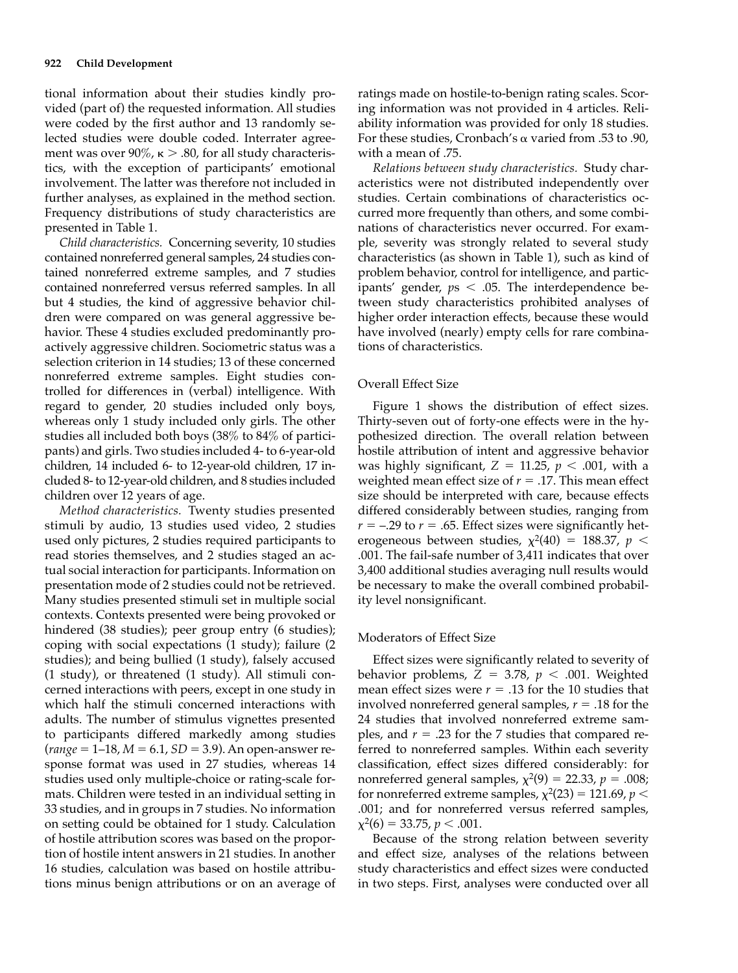tional information about their studies kindly provided (part of) the requested information. All studies were coded by the first author and 13 randomly selected studies were double coded. Interrater agreement was over 90%,  $\kappa > .80$ , for all study characteristics, with the exception of participants' emotional involvement. The latter was therefore not included in further analyses, as explained in the method section. Frequency distributions of study characteristics are presented in Table 1.

*Child characteristics.* Concerning severity, 10 studies contained nonreferred general samples, 24 studies contained nonreferred extreme samples, and 7 studies contained nonreferred versus referred samples. In all but 4 studies, the kind of aggressive behavior children were compared on was general aggressive behavior. These 4 studies excluded predominantly proactively aggressive children. Sociometric status was a selection criterion in 14 studies; 13 of these concerned nonreferred extreme samples. Eight studies controlled for differences in (verbal) intelligence. With regard to gender, 20 studies included only boys, whereas only 1 study included only girls. The other studies all included both boys (38% to 84% of participants) and girls. Two studies included 4- to 6-year-old children, 14 included 6- to 12-year-old children, 17 included 8- to 12-year-old children, and 8 studies included children over 12 years of age.

*Method characteristics.* Twenty studies presented stimuli by audio, 13 studies used video, 2 studies used only pictures, 2 studies required participants to read stories themselves, and 2 studies staged an actual social interaction for participants. Information on presentation mode of 2 studies could not be retrieved. Many studies presented stimuli set in multiple social contexts. Contexts presented were being provoked or hindered (38 studies); peer group entry (6 studies); coping with social expectations (1 study); failure (2 studies); and being bullied (1 study), falsely accused (1 study), or threatened (1 study). All stimuli concerned interactions with peers, except in one study in which half the stimuli concerned interactions with adults. The number of stimulus vignettes presented to participants differed markedly among studies  $(range = 1-18, M = 6.1, SD = 3.9)$ . An open-answer response format was used in 27 studies, whereas 14 studies used only multiple-choice or rating-scale formats. Children were tested in an individual setting in 33 studies, and in groups in 7 studies. No information on setting could be obtained for 1 study. Calculation of hostile attribution scores was based on the proportion of hostile intent answers in 21 studies. In another 16 studies, calculation was based on hostile attributions minus benign attributions or on an average of ratings made on hostile-to-benign rating scales. Scoring information was not provided in 4 articles. Reliability information was provided for only 18 studies. For these studies, Cronbach's  $\alpha$  varied from .53 to .90, with a mean of .75.

*Relations between study characteristics.* Study characteristics were not distributed independently over studies. Certain combinations of characteristics occurred more frequently than others, and some combinations of characteristics never occurred. For example, severity was strongly related to several study characteristics (as shown in Table 1), such as kind of problem behavior, control for intelligence, and participants' gender,  $ps < .05$ . The interdependence between study characteristics prohibited analyses of higher order interaction effects, because these would have involved (nearly) empty cells for rare combinations of characteristics.

# Overall Effect Size

Figure 1 shows the distribution of effect sizes. Thirty-seven out of forty-one effects were in the hypothesized direction. The overall relation between hostile attribution of intent and aggressive behavior was highly significant,  $Z = 11.25$ ,  $p < .001$ , with a weighted mean effect size of  $r = .17$ . This mean effect size should be interpreted with care, because effects differed considerably between studies, ranging from  $r = -.29$  to  $r = .65$ . Effect sizes were significantly heterogeneous between studies,  $\chi^2(40) = 188.37$ ,  $p <$ .001. The fail-safe number of 3,411 indicates that over 3,400 additional studies averaging null results would be necessary to make the overall combined probability level nonsignificant.

# Moderators of Effect Size

Effect sizes were significantly related to severity of behavior problems,  $Z = 3.78$ ,  $p < .001$ . Weighted mean effect sizes were  $r = .13$  for the 10 studies that involved nonreferred general samples,  $r = .18$  for the 24 studies that involved nonreferred extreme samples, and  $r = .23$  for the 7 studies that compared referred to nonreferred samples. Within each severity classification, effect sizes differed considerably: for nonreferred general samples,  $\chi^2(9) = 22.33$ ,  $p = .008$ ; for nonreferred extreme samples,  $\chi^2(23) = 121.69$ ,  $p <$ .001; and for nonreferred versus referred samples,  $\chi^2(6) = 33.75, p < .001.$ 

Because of the strong relation between severity and effect size, analyses of the relations between study characteristics and effect sizes were conducted in two steps. First, analyses were conducted over all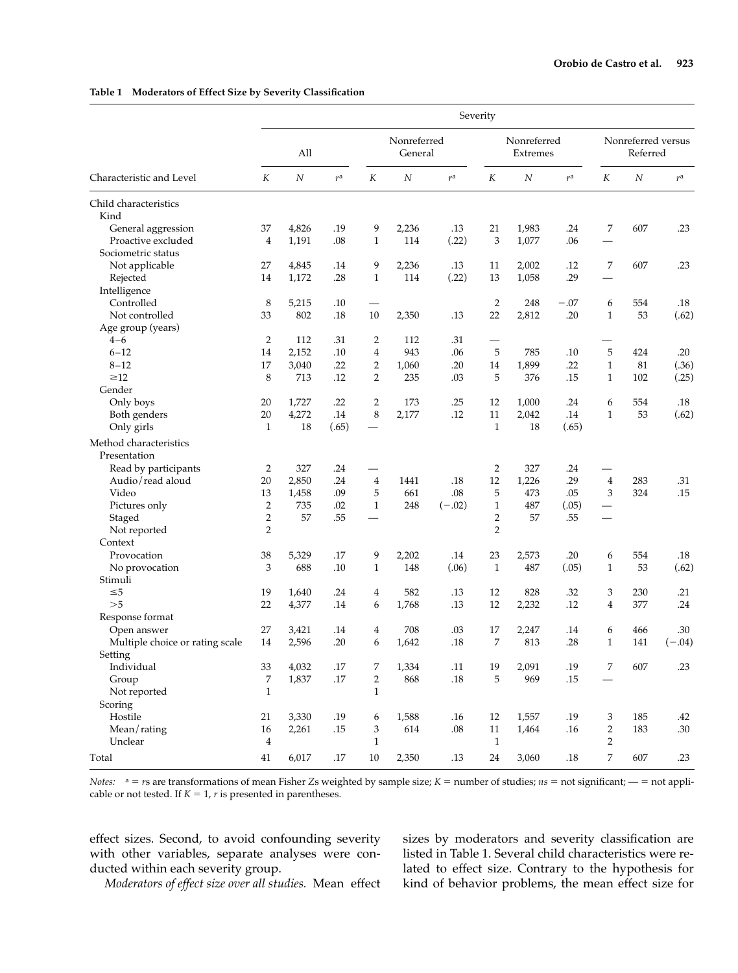### **Table 1 Moderators of Effect Size by Severity Classification**

|                                 | Severity         |       |                        |                          |                  |                         |                          |       |                                |                          |                  |                |
|---------------------------------|------------------|-------|------------------------|--------------------------|------------------|-------------------------|--------------------------|-------|--------------------------------|--------------------------|------------------|----------------|
| Characteristic and Level        | All              |       | Nonreferred<br>General |                          |                  | Nonreferred<br>Extremes |                          |       | Nonreferred versus<br>Referred |                          |                  |                |
|                                 | K                | N     | r <sup>a</sup>         | K                        | $\boldsymbol{N}$ | r <sup>a</sup>          | K                        | N     | r <sup>a</sup>                 | K                        | $\boldsymbol{N}$ | r <sup>a</sup> |
| Child characteristics           |                  |       |                        |                          |                  |                         |                          |       |                                |                          |                  |                |
| Kind                            |                  |       |                        |                          |                  |                         |                          |       |                                |                          |                  |                |
| General aggression              | 37               | 4,826 | .19                    | 9                        | 2,236            | .13                     | 21                       | 1,983 | .24                            | 7                        | 607              | .23            |
| Proactive excluded              | $\overline{4}$   | 1,191 | .08                    | $\mathbf{1}$             | 114              | (.22)                   | 3                        | 1,077 | .06                            |                          |                  |                |
| Sociometric status              |                  |       |                        |                          |                  |                         |                          |       |                                |                          |                  |                |
| Not applicable                  | 27               | 4.845 | .14                    | 9                        | 2,236            | .13                     | 11                       | 2,002 | .12                            | 7                        | 607              | .23            |
| Rejected                        | 14               | 1,172 | .28                    | $\mathbf{1}$             | 114              | (.22)                   | 13                       | 1,058 | .29                            | $\overline{\phantom{0}}$ |                  |                |
| Intelligence                    |                  |       |                        |                          |                  |                         |                          |       |                                |                          |                  |                |
| Controlled                      | 8                | 5,215 | .10                    |                          |                  |                         | $\overline{2}$           | 248   | $-.07$                         | 6                        | 554              | .18            |
| Not controlled                  | 33               | 802   | .18                    | 10                       | 2,350            | .13                     | 22                       | 2,812 | .20                            | $\mathbf{1}$             | 53               | (.62)          |
| Age group (years)               |                  |       |                        |                          |                  |                         |                          |       |                                |                          |                  |                |
| $4 - 6$                         | $\overline{2}$   | 112   | .31                    | $\overline{2}$           | 112              | .31                     | $\overline{\phantom{0}}$ |       |                                |                          |                  |                |
| $6 - 12$                        | 14               | 2,152 | .10                    | $\overline{4}$           | 943              | .06                     | 5                        | 785   | .10                            | 5                        | 424              | .20            |
| $8 - 12$                        | 17               | 3,040 | .22                    | $\overline{2}$           | 1,060            | .20                     | 14                       | 1,899 | .22                            | $\mathbf{1}$             | 81               | (.36)          |
| $\geq$ 12                       | 8                | 713   | .12                    | $\overline{2}$           | 235              | .03                     | 5                        | 376   | .15                            | $\mathbf{1}$             | 102              | (.25)          |
| Gender                          |                  |       |                        |                          |                  |                         |                          |       |                                |                          |                  |                |
| Only boys                       | 20               | 1,727 | .22                    | $\overline{2}$           | 173              | .25                     | 12                       | 1,000 | .24                            | 6                        | 554              | .18            |
| Both genders                    | 20               | 4,272 | .14                    | 8                        | 2,177            | .12                     | 11                       | 2,042 | .14                            | $\mathbf{1}$             | 53               | (.62)          |
| Only girls                      | $\mathbf{1}$     | 18    | (.65)                  |                          |                  |                         | $\mathbf{1}$             | 18    | (.65)                          |                          |                  |                |
| Method characteristics          |                  |       |                        |                          |                  |                         |                          |       |                                |                          |                  |                |
| Presentation                    |                  |       |                        |                          |                  |                         |                          |       |                                |                          |                  |                |
| Read by participants            | $\overline{2}$   | 327   | .24                    | $\overline{\phantom{0}}$ |                  |                         | $\overline{2}$           | 327   | .24                            | $\overline{\phantom{0}}$ |                  |                |
| Audio/read aloud                | 20               | 2,850 | .24                    | $\overline{4}$           | 1441             | .18                     | 12                       | 1,226 | .29                            | $\overline{4}$           | 283              | .31            |
| Video                           | 13               | 1,458 | .09                    | 5                        | 661              | .08                     | 5                        | 473   | .05                            | 3                        | 324              | .15            |
| Pictures only                   | $\overline{2}$   | 735   | .02                    | $\mathbf{1}$             | 248              | $(-.02)$                | $\mathbf{1}$             | 487   | (.05)                          |                          |                  |                |
| Staged                          | $\sqrt{2}$       | 57    | .55                    |                          |                  |                         | $\overline{2}$           | 57    | .55                            | $\overline{\phantom{0}}$ |                  |                |
| Not reported                    | $\overline{2}$   |       |                        |                          |                  |                         | $\overline{2}$           |       |                                |                          |                  |                |
| Context                         |                  |       |                        |                          |                  |                         |                          |       |                                |                          |                  |                |
| Provocation                     | 38               | 5,329 | .17                    | 9                        | 2,202            | .14                     | 23                       | 2,573 | .20                            | 6                        | 554              | .18            |
| No provocation                  | 3                | 688   | .10                    | $\mathbf{1}$             | 148              | (.06)                   | $\mathbf{1}$             | 487   | (.05)                          | $\mathbf{1}$             | 53               | (.62)          |
| Stimuli                         |                  |       |                        |                          |                  |                         |                          |       |                                |                          |                  |                |
| $\leq 5$                        | 19               | 1,640 | .24                    | 4                        | 582              | .13                     | 12                       | 828   | .32                            | 3                        | 230              | .21            |
| >5                              | 22               | 4,377 | .14                    | 6                        | 1,768            | .13                     | 12                       | 2,232 | .12                            | 4                        | 377              | .24            |
| Response format                 |                  |       |                        |                          |                  |                         |                          |       |                                |                          |                  |                |
| Open answer                     | 27               | 3,421 | .14                    | 4                        | 708              | .03                     | 17                       | 2,247 | .14                            | 6                        | 466              | .30            |
| Multiple choice or rating scale | 14               | 2,596 | .20                    | 6                        | 1,642            | .18                     | 7                        | 813   | .28                            | $\mathbf{1}$             | 141              | $(-.04)$       |
| Setting                         |                  |       |                        |                          |                  |                         |                          |       |                                |                          |                  |                |
| Individual                      | 33               | 4,032 | .17                    | 7                        | 1,334            | .11                     | 19                       | 2,091 | .19                            | 7                        | 607              | .23            |
| Group                           | $\boldsymbol{7}$ | 1,837 | $.17\,$                | $\overline{c}$           | 868              | $.18\,$                 | 5                        | 969   | $.15\,$                        |                          |                  |                |
| Not reported                    | $\mathbf{1}$     |       |                        | $\mathbf{1}$             |                  |                         |                          |       |                                |                          |                  |                |
| Scoring                         |                  |       |                        |                          |                  |                         |                          |       |                                |                          |                  |                |
| Hostile                         | 21               | 3,330 | .19                    | 6                        | 1,588            | .16                     | 12                       | 1,557 | .19                            | 3                        | 185              | .42            |
| Mean/rating                     | 16               | 2,261 | .15                    | 3                        | 614              | .08                     | 11                       | 1,464 | .16                            | 2                        | 183              | .30            |
| Unclear                         | $\boldsymbol{4}$ |       |                        | $\mathbf{1}$             |                  |                         | $\mathbf{1}$             |       |                                | $\overline{2}$           |                  |                |
|                                 |                  |       |                        |                          |                  |                         |                          |       |                                |                          |                  |                |
| Total                           | 41               | 6,017 | .17                    | 10                       | 2,350            | .13                     | 24                       | 3,060 | $.18$                          | 7                        | 607              | .23            |

*Notes:*  $a = rs$  are transformations of mean Fisher *Zs* weighted by sample size; *K* = number of studies; *ns* = not significant; — = not applicable or not tested. If  $K = 1$ ,  $r$  is presented in parentheses.

effect sizes. Second, to avoid confounding severity with other variables, separate analyses were conducted within each severity group.

sizes by moderators and severity classification are listed in Table 1. Several child characteristics were related to effect size. Contrary to the hypothesis for kind of behavior problems, the mean effect size for

*Moderators of effect size over all studies.* Mean effect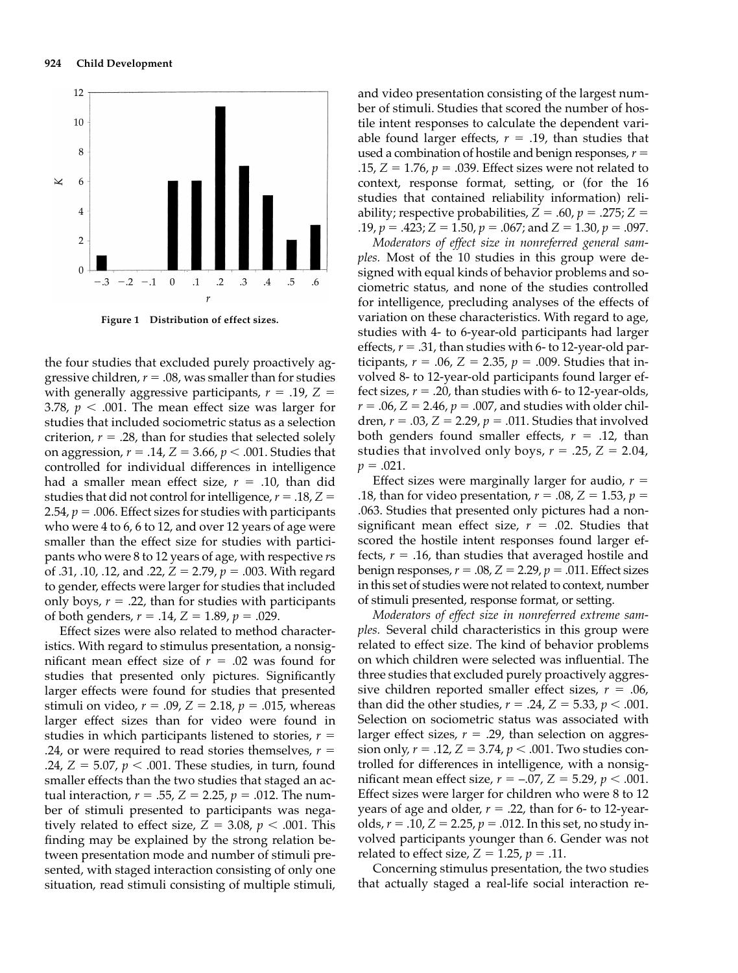

**Figure 1 Distribution of effect sizes.**

the four studies that excluded purely proactively aggressive children,  $r = .08$ , was smaller than for studies with generally aggressive participants,  $r = .19$ ,  $Z =$ 3.78,  $p < .001$ . The mean effect size was larger for studies that included sociometric status as a selection criterion,  $r = .28$ , than for studies that selected solely on aggression,  $r = .14$ ,  $Z = 3.66$ ,  $p < .001$ . Studies that controlled for individual differences in intelligence had a smaller mean effect size,  $r = .10$ , than did studies that did not control for intelligence,  $r = .18$ ,  $Z =$ 2.54,  $p = .006$ . Effect sizes for studies with participants who were 4 to 6, 6 to 12, and over 12 years of age were smaller than the effect size for studies with participants who were 8 to 12 years of age, with respective *r*s of .31, .10, .12, and .22,  $Z = 2.79$ ,  $p = .003$ . With regard to gender, effects were larger for studies that included only boys,  $r = .22$ , than for studies with participants of both genders,  $r = .14$ ,  $Z = 1.89$ ,  $p = .029$ .

Effect sizes were also related to method characteristics. With regard to stimulus presentation, a nonsignificant mean effect size of  $r = .02$  was found for studies that presented only pictures. Significantly larger effects were found for studies that presented stimuli on video,  $r = .09$ ,  $Z = 2.18$ ,  $p = .015$ , whereas larger effect sizes than for video were found in studies in which participants listened to stories, *r* .24, or were required to read stories themselves,  $r =$ .24,  $Z = 5.07$ ,  $p < .001$ . These studies, in turn, found smaller effects than the two studies that staged an actual interaction,  $r = .55$ ,  $Z = 2.25$ ,  $p = .012$ . The number of stimuli presented to participants was negatively related to effect size,  $Z = 3.08$ ,  $p < .001$ . This finding may be explained by the strong relation between presentation mode and number of stimuli presented, with staged interaction consisting of only one situation, read stimuli consisting of multiple stimuli,

and video presentation consisting of the largest number of stimuli. Studies that scored the number of hostile intent responses to calculate the dependent variable found larger effects,  $r = .19$ , than studies that used a combination of hostile and benign responses, *r* .15,  $Z = 1.76$ ,  $p = .039$ . Effect sizes were not related to context, response format, setting, or (for the 16 studies that contained reliability information) reliability; respective probabilities,  $Z = .60$ ,  $p = .275$ ;  $Z =$ .19,  $p = .423$ ;  $Z = 1.50$ ,  $p = .067$ ; and  $Z = 1.30$ ,  $p = .097$ .

*Moderators of effect size in nonreferred general samples.* Most of the 10 studies in this group were designed with equal kinds of behavior problems and sociometric status, and none of the studies controlled for intelligence, precluding analyses of the effects of variation on these characteristics. With regard to age, studies with 4- to 6-year-old participants had larger effects,  $r = .31$ , than studies with 6- to 12-year-old participants,  $r = .06$ ,  $Z = 2.35$ ,  $p = .009$ . Studies that involved 8- to 12-year-old participants found larger effect sizes,  $r = .20$ , than studies with 6- to 12-year-olds,  $r = .06$ ,  $Z = 2.46$ ,  $p = .007$ , and studies with older children,  $r = .03$ ,  $Z = 2.29$ ,  $p = .011$ . Studies that involved both genders found smaller effects,  $r = .12$ , than studies that involved only boys,  $r = .25$ ,  $Z = 2.04$ ,  $p = .021$ .

Effect sizes were marginally larger for audio, *r* .18, than for video presentation,  $r = .08$ ,  $Z = 1.53$ ,  $p =$ .063. Studies that presented only pictures had a nonsignificant mean effect size,  $r = .02$ . Studies that scored the hostile intent responses found larger effects,  $r = .16$ , than studies that averaged hostile and benign responses,  $r = .08$ ,  $Z = 2.29$ ,  $p = .011$ . Effect sizes in this set of studies were not related to context, number of stimuli presented, response format, or setting.

*Moderators of effect size in nonreferred extreme samples.* Several child characteristics in this group were related to effect size. The kind of behavior problems on which children were selected was influential. The three studies that excluded purely proactively aggressive children reported smaller effect sizes,  $r = .06$ , than did the other studies,  $r = .24$ ,  $Z = 5.33$ ,  $p < .001$ . Selection on sociometric status was associated with larger effect sizes,  $r = .29$ , than selection on aggression only,  $r = .12$ ,  $Z = 3.74$ ,  $p < .001$ . Two studies controlled for differences in intelligence, with a nonsignificant mean effect size,  $r = -.07$ ,  $Z = 5.29$ ,  $p < .001$ . Effect sizes were larger for children who were 8 to 12 years of age and older,  $r = .22$ , than for 6- to 12-yearolds,  $r = .10$ ,  $Z = 2.25$ ,  $p = .012$ . In this set, no study involved participants younger than 6. Gender was not related to effect size,  $Z = 1.25$ ,  $p = .11$ .

Concerning stimulus presentation, the two studies that actually staged a real-life social interaction re-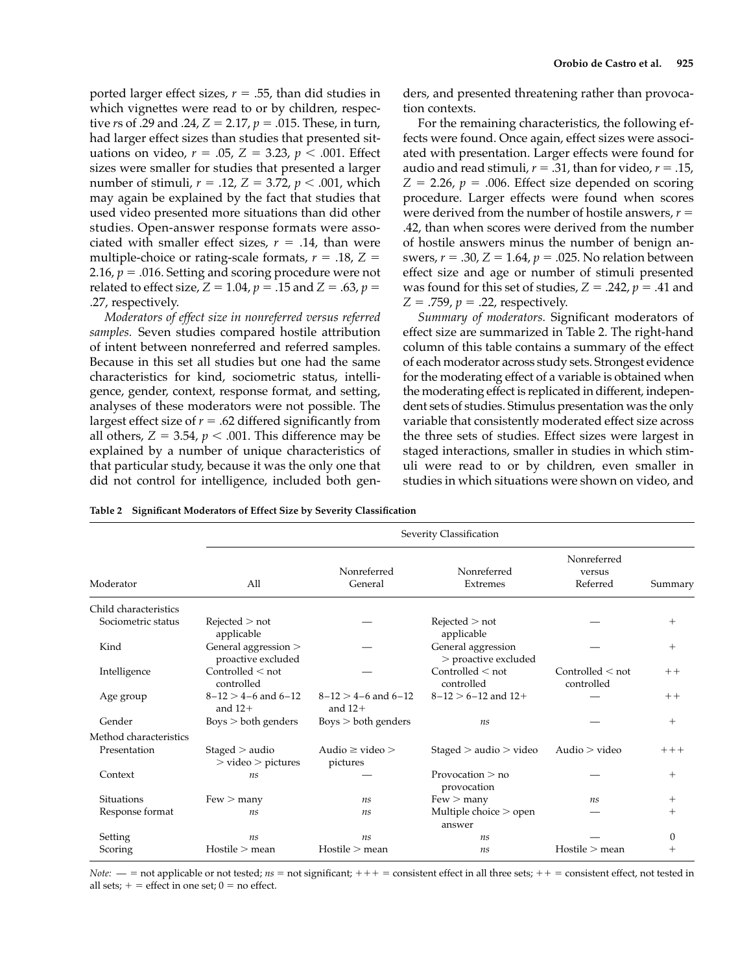ported larger effect sizes,  $r = .55$ , than did studies in which vignettes were read to or by children, respective *rs* of .29 and .24,  $Z = 2.17$ ,  $p = .015$ . These, in turn, had larger effect sizes than studies that presented situations on video,  $r = .05$ ,  $Z = 3.23$ ,  $p < .001$ . Effect sizes were smaller for studies that presented a larger number of stimuli,  $r = .12$ ,  $Z = 3.72$ ,  $p < .001$ , which may again be explained by the fact that studies that used video presented more situations than did other studies. Open-answer response formats were associated with smaller effect sizes,  $r = .14$ , than were multiple-choice or rating-scale formats,  $r = .18$ ,  $Z =$ 2.16,  $p = .016$ . Setting and scoring procedure were not related to effect size,  $Z = 1.04$ ,  $p = .15$  and  $Z = .63$ ,  $p =$ .27, respectively.

*Moderators of effect size in nonreferred versus referred samples.* Seven studies compared hostile attribution of intent between nonreferred and referred samples. Because in this set all studies but one had the same characteristics for kind, sociometric status, intelligence, gender, context, response format, and setting, analyses of these moderators were not possible. The largest effect size of  $r = .62$  differed significantly from all others,  $Z = 3.54$ ,  $p < .001$ . This difference may be explained by a number of unique characteristics of that particular study, because it was the only one that did not control for intelligence, included both genders, and presented threatening rather than provocation contexts.

For the remaining characteristics, the following effects were found. Once again, effect sizes were associated with presentation. Larger effects were found for audio and read stimuli,  $r = .31$ , than for video,  $r = .15$ ,  $Z = 2.26$ ,  $p = .006$ . Effect size depended on scoring procedure. Larger effects were found when scores were derived from the number of hostile answers, *r* .42, than when scores were derived from the number of hostile answers minus the number of benign answers,  $r = .30$ ,  $Z = 1.64$ ,  $p = .025$ . No relation between effect size and age or number of stimuli presented was found for this set of studies,  $Z = .242$ ,  $p = .41$  and  $Z = .759$ ,  $p = .22$ , respectively.

*Summary of moderators.* Significant moderators of effect size are summarized in Table 2. The right-hand column of this table contains a summary of the effect of each moderator across study sets. Strongest evidence for the moderating effect of a variable is obtained when the moderating effect is replicated in different, independent sets of studies. Stimulus presentation was the only variable that consistently moderated effect size across the three sets of studies. Effect sizes were largest in staged interactions, smaller in studies in which stimuli were read to or by children, even smaller in studies in which situations were shown on video, and

**Table 2 Significant Moderators of Effect Size by Severity Classification**

|                        | Severity Classification                    |                                      |                                              |                                   |          |  |  |  |  |
|------------------------|--------------------------------------------|--------------------------------------|----------------------------------------------|-----------------------------------|----------|--|--|--|--|
| Moderator              | All                                        | Nonreferred<br>General               | Nonreferred<br>Extremes                      | Nonreferred<br>versus<br>Referred | Summary  |  |  |  |  |
| Child characteristics  |                                            |                                      |                                              |                                   |          |  |  |  |  |
| Sociometric status     | Rejected > not<br>applicable               |                                      | Rejected > not<br>applicable                 |                                   | $^{+}$   |  |  |  |  |
| Kind                   | General aggression ><br>proactive excluded |                                      | General aggression<br>$>$ proactive excluded |                                   | $^{+}$   |  |  |  |  |
| Intelligence           | Controlled $<$ not<br>controlled           |                                      | Controlled $<$ not<br>controlled             | Controlled < not<br>controlled    | $++$     |  |  |  |  |
| Age group              | $8-12 > 4-6$ and $6-12$<br>and $12+$       | $8-12 > 4-6$ and $6-12$<br>and $12+$ | $8-12 > 6-12$ and $12+$                      |                                   | $++$     |  |  |  |  |
| Gender                 | $Boys > both \, \text{genders}$            | $Boys > both \t{genders}$            | ns                                           |                                   | $^{+}$   |  |  |  |  |
| Method characteristics |                                            |                                      |                                              |                                   |          |  |  |  |  |
| Presentation           | Staged > audio<br>$>$ video $>$ pictures   | Audio $\geq$ video $>$<br>pictures   | Staged $>$ audio $>$ video                   | Audio $>$ video                   | $++++$   |  |  |  |  |
| Context                | ns                                         |                                      | Provocation $>$ no<br>provocation            |                                   | $^+$     |  |  |  |  |
| <b>Situations</b>      | $Few >$ many                               | ns                                   | $Few >$ many                                 | ns                                | $^+$     |  |  |  |  |
| Response format        | ns                                         | ns                                   | Multiple choice > open<br>answer             |                                   | $^+$     |  |  |  |  |
| Setting                | ns                                         | ns                                   | ns                                           |                                   | $^{(1)}$ |  |  |  |  |
| Scoring                | Hostile > mean                             | Hostile > mean                       | ns                                           | Hostile > mean                    | $^+$     |  |  |  |  |

*Note:*  $-$  = not applicable or not tested;  $ns$  = not significant;  $++$  = consistent effect in all three sets;  $++$  = consistent effect, not tested in all sets;  $+$  = effect in one set;  $0$  = no effect.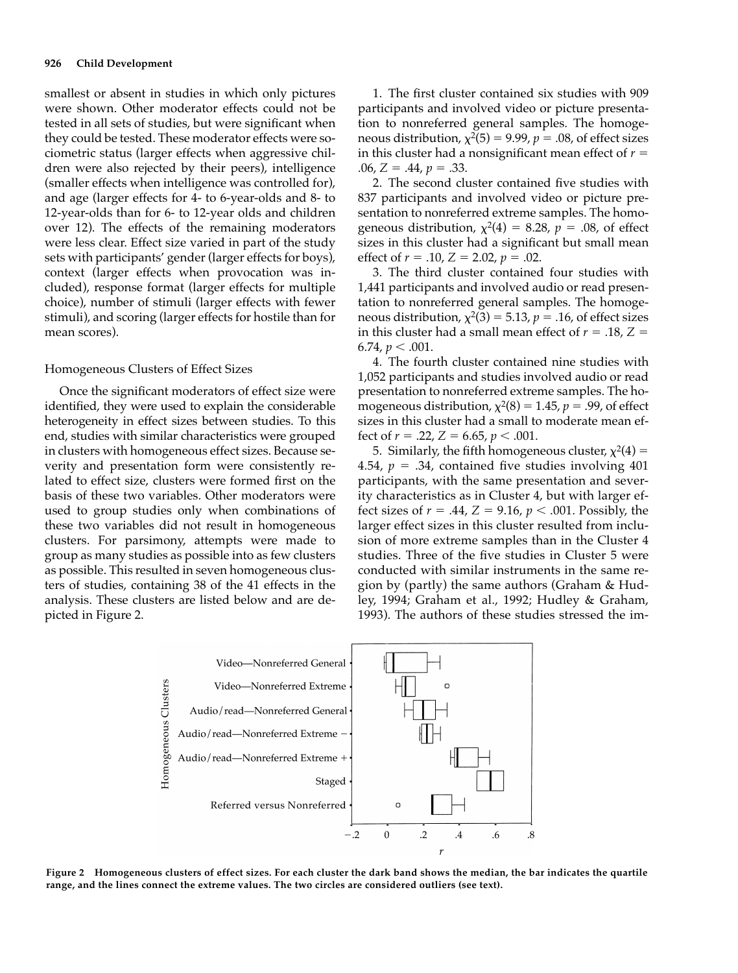smallest or absent in studies in which only pictures were shown. Other moderator effects could not be tested in all sets of studies, but were significant when they could be tested. These moderator effects were sociometric status (larger effects when aggressive children were also rejected by their peers), intelligence (smaller effects when intelligence was controlled for), and age (larger effects for 4- to 6-year-olds and 8- to 12-year-olds than for 6- to 12-year olds and children over 12). The effects of the remaining moderators were less clear. Effect size varied in part of the study sets with participants' gender (larger effects for boys), context (larger effects when provocation was included), response format (larger effects for multiple choice), number of stimuli (larger effects with fewer stimuli), and scoring (larger effects for hostile than for mean scores).

#### Homogeneous Clusters of Effect Sizes

Once the significant moderators of effect size were identified, they were used to explain the considerable heterogeneity in effect sizes between studies. To this end, studies with similar characteristics were grouped in clusters with homogeneous effect sizes. Because severity and presentation form were consistently related to effect size, clusters were formed first on the basis of these two variables. Other moderators were used to group studies only when combinations of these two variables did not result in homogeneous clusters. For parsimony, attempts were made to group as many studies as possible into as few clusters as possible. This resulted in seven homogeneous clusters of studies, containing 38 of the 41 effects in the analysis. These clusters are listed below and are depicted in Figure 2.

1. The first cluster contained six studies with 909 participants and involved video or picture presentation to nonreferred general samples. The homogeneous distribution,  $\chi^2(5) = 9.99$ ,  $p = .08$ , of effect sizes in this cluster had a nonsignificant mean effect of *r*  $.06, Z = .44, p = .33.$ 

2. The second cluster contained five studies with 837 participants and involved video or picture presentation to nonreferred extreme samples. The homogeneous distribution,  $\chi^2(4) = 8.28$ ,  $p = .08$ , of effect sizes in this cluster had a significant but small mean effect of  $r = .10$ ,  $Z = 2.02$ ,  $p = .02$ .

3. The third cluster contained four studies with 1,441 participants and involved audio or read presentation to nonreferred general samples. The homogeneous distribution,  $\chi^2(3) = 5.13$ ,  $p = .16$ , of effect sizes in this cluster had a small mean effect of  $r = .18$ ,  $Z =$  $6.74, p < .001.$ 

4. The fourth cluster contained nine studies with 1,052 participants and studies involved audio or read presentation to nonreferred extreme samples. The homogeneous distribution,  $\chi^2(8) = 1.45$ ,  $p = .99$ , of effect sizes in this cluster had a small to moderate mean effect of  $r = .22$ ,  $Z = 6.65$ ,  $p < .001$ .

5. Similarly, the fifth homogeneous cluster,  $\chi^2(4)$  = 4.54,  $p = .34$ , contained five studies involving 401 participants, with the same presentation and severity characteristics as in Cluster 4, but with larger effect sizes of  $r = .44$ ,  $Z = 9.16$ ,  $p < .001$ . Possibly, the larger effect sizes in this cluster resulted from inclusion of more extreme samples than in the Cluster 4 studies. Three of the five studies in Cluster 5 were conducted with similar instruments in the same region by (partly) the same authors (Graham & Hudley, 1994; Graham et al., 1992; Hudley & Graham, 1993). The authors of these studies stressed the im-



**Figure 2 Homogeneous clusters of effect sizes. For each cluster the dark band shows the median, the bar indicates the quartile range, and the lines connect the extreme values. The two circles are considered outliers (see text).**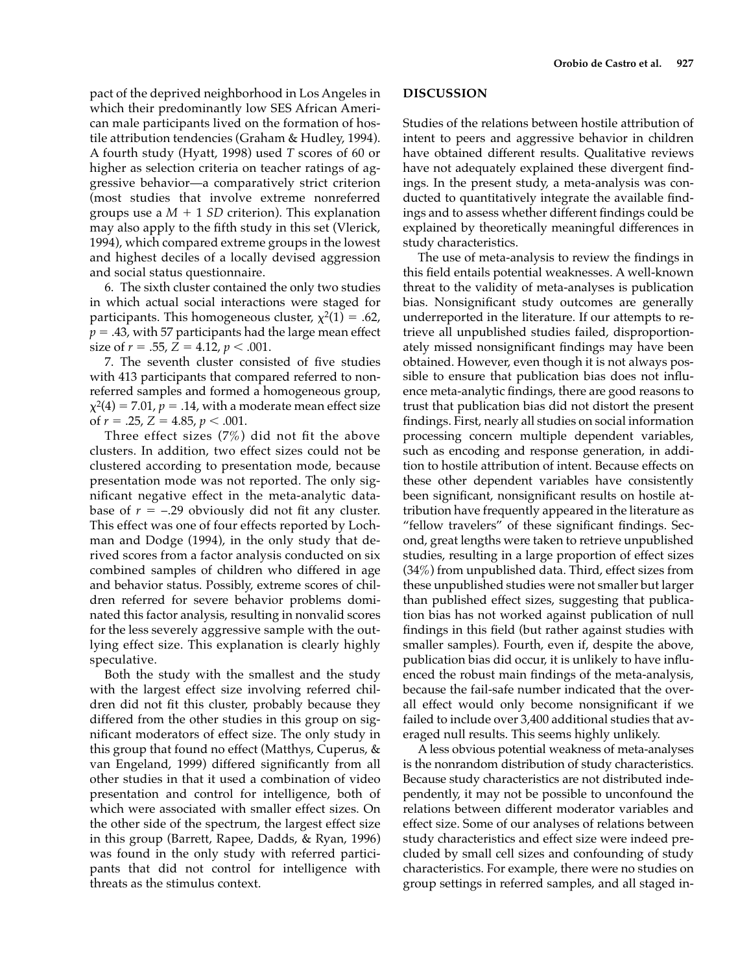pact of the deprived neighborhood in Los Angeles in which their predominantly low SES African American male participants lived on the formation of hostile attribution tendencies (Graham & Hudley, 1994). A fourth study (Hyatt, 1998) used *T* scores of 60 or higher as selection criteria on teacher ratings of aggressive behavior—a comparatively strict criterion (most studies that involve extreme nonreferred groups use a  $M + 1$  *SD* criterion). This explanation may also apply to the fifth study in this set (Vlerick, 1994), which compared extreme groups in the lowest and highest deciles of a locally devised aggression and social status questionnaire.

6. The sixth cluster contained the only two studies in which actual social interactions were staged for participants. This homogeneous cluster,  $\chi^2(1) = .62$ ,  $p = .43$ , with 57 participants had the large mean effect size of  $r = .55$ ,  $Z = 4.12$ ,  $p < .001$ .

7. The seventh cluster consisted of five studies with 413 participants that compared referred to nonreferred samples and formed a homogeneous group,  $\chi^2(4) = 7.01$ ,  $p = .14$ , with a moderate mean effect size of  $r = .25$ ,  $Z = 4.85$ ,  $p < .001$ .

Three effect sizes (7%) did not fit the above clusters. In addition, two effect sizes could not be clustered according to presentation mode, because presentation mode was not reported. The only significant negative effect in the meta-analytic database of  $r = -.29$  obviously did not fit any cluster. This effect was one of four effects reported by Lochman and Dodge (1994), in the only study that derived scores from a factor analysis conducted on six combined samples of children who differed in age and behavior status. Possibly, extreme scores of children referred for severe behavior problems dominated this factor analysis, resulting in nonvalid scores for the less severely aggressive sample with the outlying effect size. This explanation is clearly highly speculative.

Both the study with the smallest and the study with the largest effect size involving referred children did not fit this cluster, probably because they differed from the other studies in this group on significant moderators of effect size. The only study in this group that found no effect (Matthys, Cuperus, & van Engeland, 1999) differed significantly from all other studies in that it used a combination of video presentation and control for intelligence, both of which were associated with smaller effect sizes. On the other side of the spectrum, the largest effect size in this group (Barrett, Rapee, Dadds, & Ryan, 1996) was found in the only study with referred participants that did not control for intelligence with threats as the stimulus context.

# **DISCUSSION**

Studies of the relations between hostile attribution of intent to peers and aggressive behavior in children have obtained different results. Qualitative reviews have not adequately explained these divergent findings. In the present study, a meta-analysis was conducted to quantitatively integrate the available findings and to assess whether different findings could be explained by theoretically meaningful differences in study characteristics.

The use of meta-analysis to review the findings in this field entails potential weaknesses. A well-known threat to the validity of meta-analyses is publication bias. Nonsignificant study outcomes are generally underreported in the literature. If our attempts to retrieve all unpublished studies failed, disproportionately missed nonsignificant findings may have been obtained. However, even though it is not always possible to ensure that publication bias does not influence meta-analytic findings, there are good reasons to trust that publication bias did not distort the present findings. First, nearly all studies on social information processing concern multiple dependent variables, such as encoding and response generation, in addition to hostile attribution of intent. Because effects on these other dependent variables have consistently been significant, nonsignificant results on hostile attribution have frequently appeared in the literature as "fellow travelers" of these significant findings. Second, great lengths were taken to retrieve unpublished studies, resulting in a large proportion of effect sizes (34%) from unpublished data. Third, effect sizes from these unpublished studies were not smaller but larger than published effect sizes, suggesting that publication bias has not worked against publication of null findings in this field (but rather against studies with smaller samples). Fourth, even if, despite the above, publication bias did occur, it is unlikely to have influenced the robust main findings of the meta-analysis, because the fail-safe number indicated that the overall effect would only become nonsignificant if we failed to include over 3,400 additional studies that averaged null results. This seems highly unlikely.

A less obvious potential weakness of meta-analyses is the nonrandom distribution of study characteristics. Because study characteristics are not distributed independently, it may not be possible to unconfound the relations between different moderator variables and effect size. Some of our analyses of relations between study characteristics and effect size were indeed precluded by small cell sizes and confounding of study characteristics. For example, there were no studies on group settings in referred samples, and all staged in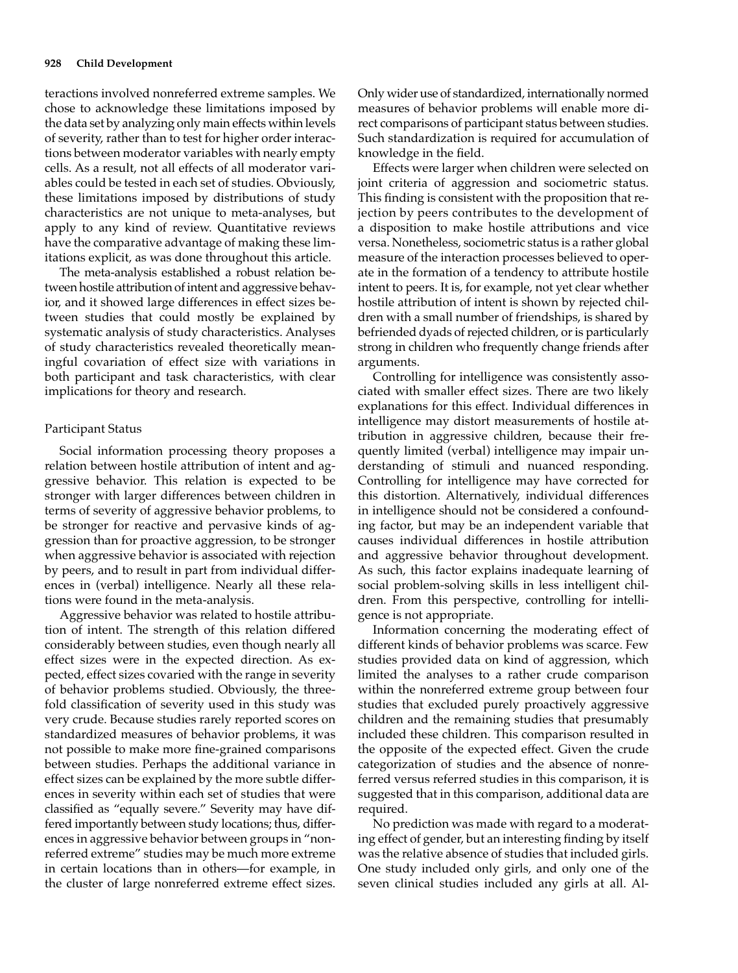teractions involved nonreferred extreme samples. We chose to acknowledge these limitations imposed by the data set by analyzing only main effects within levels of severity, rather than to test for higher order interactions between moderator variables with nearly empty cells. As a result, not all effects of all moderator variables could be tested in each set of studies. Obviously, these limitations imposed by distributions of study characteristics are not unique to meta-analyses, but apply to any kind of review. Quantitative reviews have the comparative advantage of making these limitations explicit, as was done throughout this article.

The meta-analysis established a robust relation between hostile attribution of intent and aggressive behavior, and it showed large differences in effect sizes between studies that could mostly be explained by systematic analysis of study characteristics. Analyses of study characteristics revealed theoretically meaningful covariation of effect size with variations in both participant and task characteristics, with clear implications for theory and research.

# Participant Status

Social information processing theory proposes a relation between hostile attribution of intent and aggressive behavior. This relation is expected to be stronger with larger differences between children in terms of severity of aggressive behavior problems, to be stronger for reactive and pervasive kinds of aggression than for proactive aggression, to be stronger when aggressive behavior is associated with rejection by peers, and to result in part from individual differences in (verbal) intelligence. Nearly all these relations were found in the meta-analysis.

Aggressive behavior was related to hostile attribution of intent. The strength of this relation differed considerably between studies, even though nearly all effect sizes were in the expected direction. As expected, effect sizes covaried with the range in severity of behavior problems studied. Obviously, the threefold classification of severity used in this study was very crude. Because studies rarely reported scores on standardized measures of behavior problems, it was not possible to make more fine-grained comparisons between studies. Perhaps the additional variance in effect sizes can be explained by the more subtle differences in severity within each set of studies that were classified as "equally severe." Severity may have differed importantly between study locations; thus, differences in aggressive behavior between groups in "nonreferred extreme" studies may be much more extreme in certain locations than in others—for example, in the cluster of large nonreferred extreme effect sizes.

Only wider use of standardized, internationally normed measures of behavior problems will enable more direct comparisons of participant status between studies. Such standardization is required for accumulation of knowledge in the field.

Effects were larger when children were selected on joint criteria of aggression and sociometric status. This finding is consistent with the proposition that rejection by peers contributes to the development of a disposition to make hostile attributions and vice versa. Nonetheless, sociometric status is a rather global measure of the interaction processes believed to operate in the formation of a tendency to attribute hostile intent to peers. It is, for example, not yet clear whether hostile attribution of intent is shown by rejected children with a small number of friendships, is shared by befriended dyads of rejected children, or is particularly strong in children who frequently change friends after arguments.

Controlling for intelligence was consistently associated with smaller effect sizes. There are two likely explanations for this effect. Individual differences in intelligence may distort measurements of hostile attribution in aggressive children, because their frequently limited (verbal) intelligence may impair understanding of stimuli and nuanced responding. Controlling for intelligence may have corrected for this distortion. Alternatively, individual differences in intelligence should not be considered a confounding factor, but may be an independent variable that causes individual differences in hostile attribution and aggressive behavior throughout development. As such, this factor explains inadequate learning of social problem-solving skills in less intelligent children. From this perspective, controlling for intelligence is not appropriate.

Information concerning the moderating effect of different kinds of behavior problems was scarce. Few studies provided data on kind of aggression, which limited the analyses to a rather crude comparison within the nonreferred extreme group between four studies that excluded purely proactively aggressive children and the remaining studies that presumably included these children. This comparison resulted in the opposite of the expected effect. Given the crude categorization of studies and the absence of nonreferred versus referred studies in this comparison, it is suggested that in this comparison, additional data are required.

No prediction was made with regard to a moderating effect of gender, but an interesting finding by itself was the relative absence of studies that included girls. One study included only girls, and only one of the seven clinical studies included any girls at all. Al-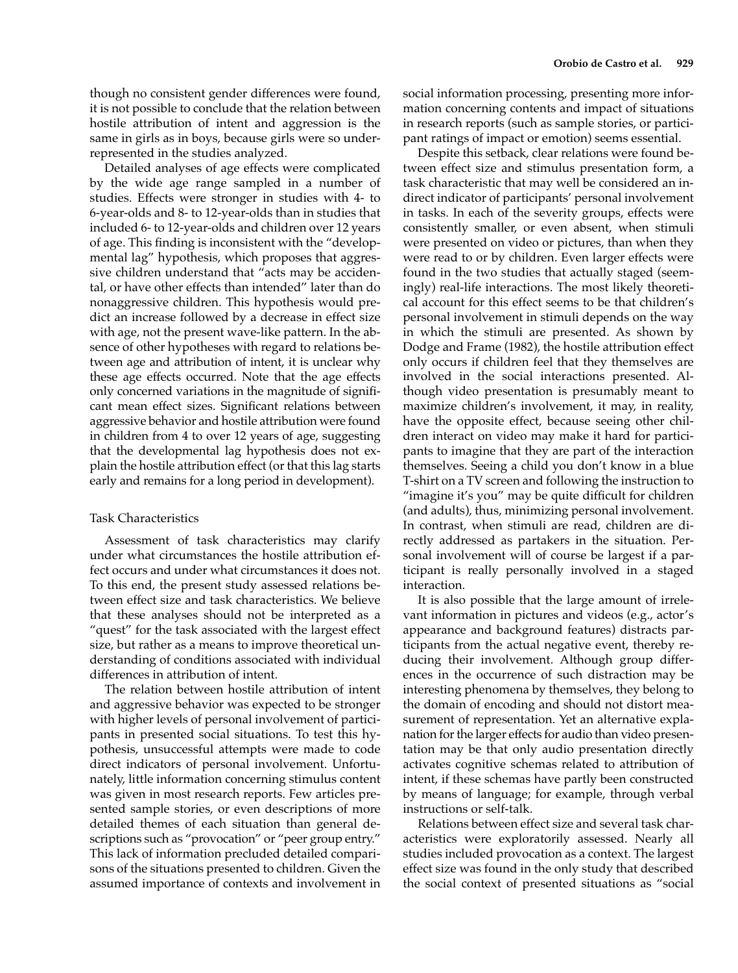though no consistent gender differences were found, it is not possible to conclude that the relation between hostile attribution of intent and aggression is the same in girls as in boys, because girls were so underrepresented in the studies analyzed.

Detailed analyses of age effects were complicated by the wide age range sampled in a number of studies. Effects were stronger in studies with 4- to 6-year-olds and 8- to 12-year-olds than in studies that included 6- to 12-year-olds and children over 12 years of age. This finding is inconsistent with the "developmental lag" hypothesis, which proposes that aggressive children understand that "acts may be accidental, or have other effects than intended" later than do nonaggressive children. This hypothesis would predict an increase followed by a decrease in effect size with age, not the present wave-like pattern. In the absence of other hypotheses with regard to relations between age and attribution of intent, it is unclear why these age effects occurred. Note that the age effects only concerned variations in the magnitude of significant mean effect sizes. Significant relations between aggressive behavior and hostile attribution were found in children from 4 to over 12 years of age, suggesting that the developmental lag hypothesis does not explain the hostile attribution effect (or that this lag starts early and remains for a long period in development).

#### Task Characteristics

Assessment of task characteristics may clarify under what circumstances the hostile attribution effect occurs and under what circumstances it does not. To this end, the present study assessed relations between effect size and task characteristics. We believe that these analyses should not be interpreted as a "quest" for the task associated with the largest effect size, but rather as a means to improve theoretical understanding of conditions associated with individual differences in attribution of intent.

The relation between hostile attribution of intent and aggressive behavior was expected to be stronger with higher levels of personal involvement of participants in presented social situations. To test this hypothesis, unsuccessful attempts were made to code direct indicators of personal involvement. Unfortunately, little information concerning stimulus content was given in most research reports. Few articles presented sample stories, or even descriptions of more detailed themes of each situation than general descriptions such as "provocation" or "peer group entry." This lack of information precluded detailed comparisons of the situations presented to children. Given the assumed importance of contexts and involvement in

social information processing, presenting more information concerning contents and impact of situations in research reports (such as sample stories, or participant ratings of impact or emotion) seems essential.

Despite this setback, clear relations were found between effect size and stimulus presentation form, a task characteristic that may well be considered an indirect indicator of participants' personal involvement in tasks. In each of the severity groups, effects were consistently smaller, or even absent, when stimuli were presented on video or pictures, than when they were read to or by children. Even larger effects were found in the two studies that actually staged (seemingly) real-life interactions. The most likely theoretical account for this effect seems to be that children's personal involvement in stimuli depends on the way in which the stimuli are presented. As shown by Dodge and Frame (1982), the hostile attribution effect only occurs if children feel that they themselves are involved in the social interactions presented. Although video presentation is presumably meant to maximize children's involvement, it may, in reality, have the opposite effect, because seeing other children interact on video may make it hard for participants to imagine that they are part of the interaction themselves. Seeing a child you don't know in a blue T-shirt on a TV screen and following the instruction to "imagine it's you" may be quite difficult for children (and adults), thus, minimizing personal involvement. In contrast, when stimuli are read, children are directly addressed as partakers in the situation. Personal involvement will of course be largest if a participant is really personally involved in a staged interaction.

It is also possible that the large amount of irrelevant information in pictures and videos (e.g., actor's appearance and background features) distracts participants from the actual negative event, thereby reducing their involvement. Although group differences in the occurrence of such distraction may be interesting phenomena by themselves, they belong to the domain of encoding and should not distort measurement of representation. Yet an alternative explanation for the larger effects for audio than video presentation may be that only audio presentation directly activates cognitive schemas related to attribution of intent, if these schemas have partly been constructed by means of language; for example, through verbal instructions or self-talk.

Relations between effect size and several task characteristics were exploratorily assessed. Nearly all studies included provocation as a context. The largest effect size was found in the only study that described the social context of presented situations as "social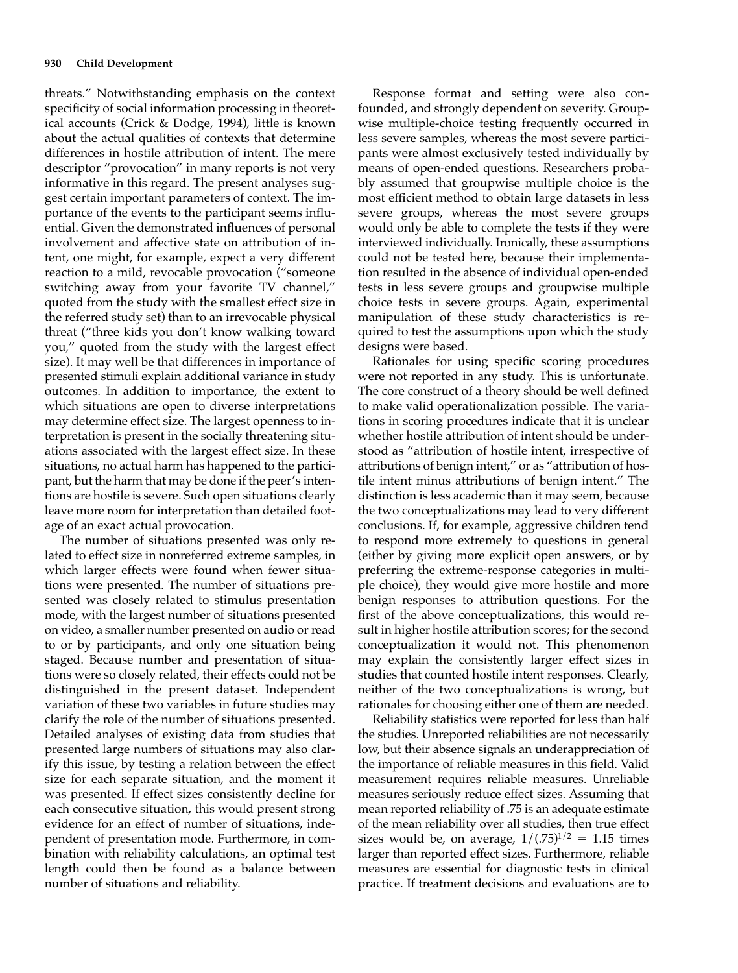threats." Notwithstanding emphasis on the context specificity of social information processing in theoretical accounts (Crick & Dodge, 1994), little is known about the actual qualities of contexts that determine differences in hostile attribution of intent. The mere descriptor "provocation" in many reports is not very informative in this regard. The present analyses suggest certain important parameters of context. The importance of the events to the participant seems influential. Given the demonstrated influences of personal involvement and affective state on attribution of intent, one might, for example, expect a very different reaction to a mild, revocable provocation ("someone switching away from your favorite TV channel," quoted from the study with the smallest effect size in the referred study set) than to an irrevocable physical threat ("three kids you don't know walking toward you," quoted from the study with the largest effect size). It may well be that differences in importance of presented stimuli explain additional variance in study outcomes. In addition to importance, the extent to which situations are open to diverse interpretations may determine effect size. The largest openness to interpretation is present in the socially threatening situations associated with the largest effect size. In these situations, no actual harm has happened to the participant, but the harm that may be done if the peer's intentions are hostile is severe. Such open situations clearly leave more room for interpretation than detailed footage of an exact actual provocation.

The number of situations presented was only related to effect size in nonreferred extreme samples, in which larger effects were found when fewer situations were presented. The number of situations presented was closely related to stimulus presentation mode, with the largest number of situations presented on video, a smaller number presented on audio or read to or by participants, and only one situation being staged. Because number and presentation of situations were so closely related, their effects could not be distinguished in the present dataset. Independent variation of these two variables in future studies may clarify the role of the number of situations presented. Detailed analyses of existing data from studies that presented large numbers of situations may also clarify this issue, by testing a relation between the effect size for each separate situation, and the moment it was presented. If effect sizes consistently decline for each consecutive situation, this would present strong evidence for an effect of number of situations, independent of presentation mode. Furthermore, in combination with reliability calculations, an optimal test length could then be found as a balance between number of situations and reliability.

Response format and setting were also confounded, and strongly dependent on severity. Groupwise multiple-choice testing frequently occurred in less severe samples, whereas the most severe participants were almost exclusively tested individually by means of open-ended questions. Researchers probably assumed that groupwise multiple choice is the most efficient method to obtain large datasets in less severe groups, whereas the most severe groups would only be able to complete the tests if they were interviewed individually. Ironically, these assumptions could not be tested here, because their implementation resulted in the absence of individual open-ended tests in less severe groups and groupwise multiple choice tests in severe groups. Again, experimental manipulation of these study characteristics is required to test the assumptions upon which the study designs were based.

Rationales for using specific scoring procedures were not reported in any study. This is unfortunate. The core construct of a theory should be well defined to make valid operationalization possible. The variations in scoring procedures indicate that it is unclear whether hostile attribution of intent should be understood as "attribution of hostile intent, irrespective of attributions of benign intent," or as "attribution of hostile intent minus attributions of benign intent." The distinction is less academic than it may seem, because the two conceptualizations may lead to very different conclusions. If, for example, aggressive children tend to respond more extremely to questions in general (either by giving more explicit open answers, or by preferring the extreme-response categories in multiple choice), they would give more hostile and more benign responses to attribution questions. For the first of the above conceptualizations, this would result in higher hostile attribution scores; for the second conceptualization it would not. This phenomenon may explain the consistently larger effect sizes in studies that counted hostile intent responses. Clearly, neither of the two conceptualizations is wrong, but rationales for choosing either one of them are needed.

Reliability statistics were reported for less than half the studies. Unreported reliabilities are not necessarily low, but their absence signals an underappreciation of the importance of reliable measures in this field. Valid measurement requires reliable measures. Unreliable measures seriously reduce effect sizes. Assuming that mean reported reliability of .75 is an adequate estimate of the mean reliability over all studies, then true effect sizes would be, on average,  $1/(.75)^{1/2} = 1.15$  times larger than reported effect sizes. Furthermore, reliable measures are essential for diagnostic tests in clinical practice. If treatment decisions and evaluations are to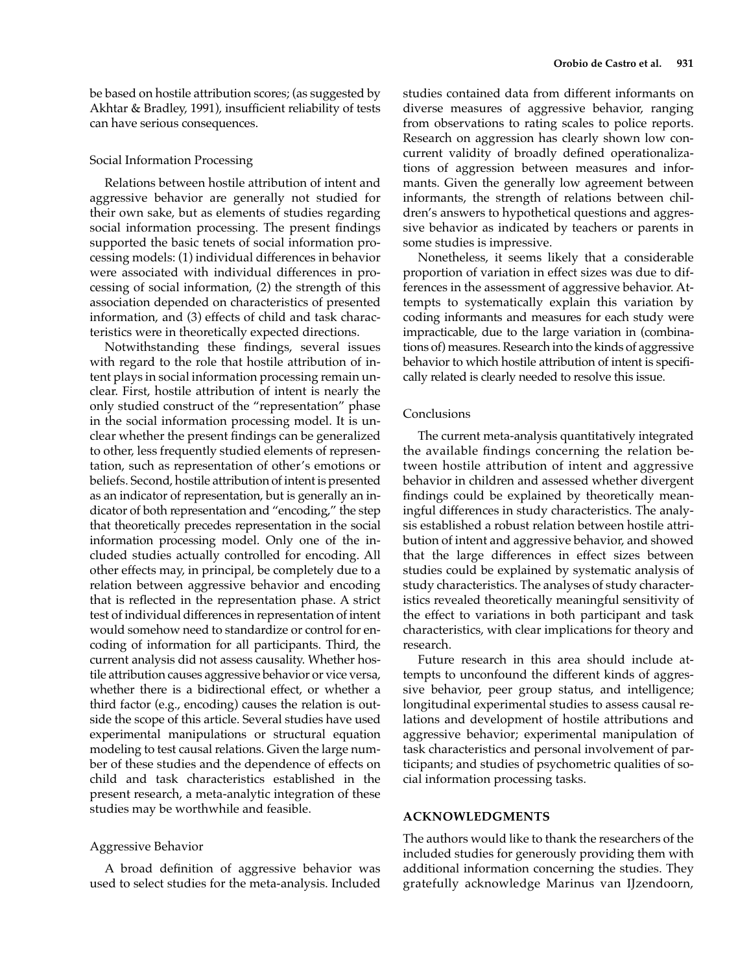be based on hostile attribution scores; (as suggested by Akhtar & Bradley, 1991), insufficient reliability of tests can have serious consequences.

### Social Information Processing

Relations between hostile attribution of intent and aggressive behavior are generally not studied for their own sake, but as elements of studies regarding social information processing. The present findings supported the basic tenets of social information processing models: (1) individual differences in behavior were associated with individual differences in processing of social information, (2) the strength of this association depended on characteristics of presented information, and (3) effects of child and task characteristics were in theoretically expected directions.

Notwithstanding these findings, several issues with regard to the role that hostile attribution of intent plays in social information processing remain unclear. First, hostile attribution of intent is nearly the only studied construct of the "representation" phase in the social information processing model. It is unclear whether the present findings can be generalized to other, less frequently studied elements of representation, such as representation of other's emotions or beliefs. Second, hostile attribution of intent is presented as an indicator of representation, but is generally an indicator of both representation and "encoding," the step that theoretically precedes representation in the social information processing model. Only one of the included studies actually controlled for encoding. All other effects may, in principal, be completely due to a relation between aggressive behavior and encoding that is reflected in the representation phase. A strict test of individual differences in representation of intent would somehow need to standardize or control for encoding of information for all participants. Third, the current analysis did not assess causality. Whether hostile attribution causes aggressive behavior or vice versa, whether there is a bidirectional effect, or whether a third factor (e.g., encoding) causes the relation is outside the scope of this article. Several studies have used experimental manipulations or structural equation modeling to test causal relations. Given the large number of these studies and the dependence of effects on child and task characteristics established in the present research, a meta-analytic integration of these studies may be worthwhile and feasible.

### Aggressive Behavior

A broad definition of aggressive behavior was used to select studies for the meta-analysis. Included studies contained data from different informants on diverse measures of aggressive behavior, ranging from observations to rating scales to police reports. Research on aggression has clearly shown low concurrent validity of broadly defined operationalizations of aggression between measures and informants. Given the generally low agreement between informants, the strength of relations between children's answers to hypothetical questions and aggressive behavior as indicated by teachers or parents in some studies is impressive.

Nonetheless, it seems likely that a considerable proportion of variation in effect sizes was due to differences in the assessment of aggressive behavior. Attempts to systematically explain this variation by coding informants and measures for each study were impracticable, due to the large variation in (combinations of) measures. Research into the kinds of aggressive behavior to which hostile attribution of intent is specifically related is clearly needed to resolve this issue.

#### Conclusions

The current meta-analysis quantitatively integrated the available findings concerning the relation between hostile attribution of intent and aggressive behavior in children and assessed whether divergent findings could be explained by theoretically meaningful differences in study characteristics. The analysis established a robust relation between hostile attribution of intent and aggressive behavior, and showed that the large differences in effect sizes between studies could be explained by systematic analysis of study characteristics. The analyses of study characteristics revealed theoretically meaningful sensitivity of the effect to variations in both participant and task characteristics, with clear implications for theory and research.

Future research in this area should include attempts to unconfound the different kinds of aggressive behavior, peer group status, and intelligence; longitudinal experimental studies to assess causal relations and development of hostile attributions and aggressive behavior; experimental manipulation of task characteristics and personal involvement of participants; and studies of psychometric qualities of social information processing tasks.

### **ACKNOWLEDGMENTS**

The authors would like to thank the researchers of the included studies for generously providing them with additional information concerning the studies. They gratefully acknowledge Marinus van IJzendoorn,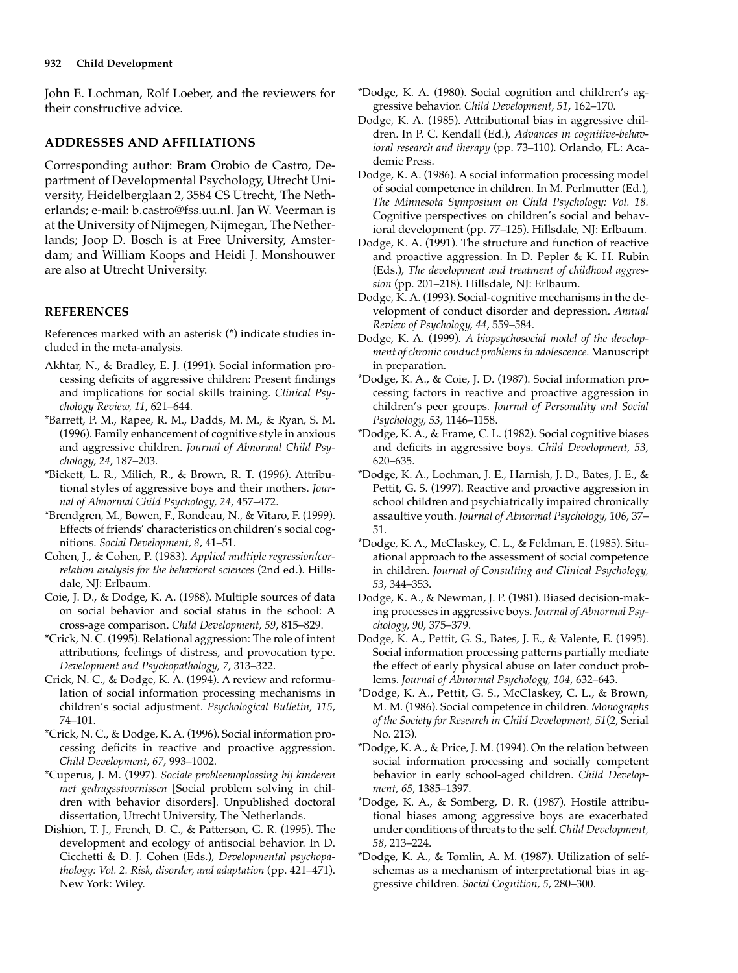John E. Lochman, Rolf Loeber, and the reviewers for their constructive advice.

# **ADDRESSES AND AFFILIATIONS**

Corresponding author: Bram Orobio de Castro, Department of Developmental Psychology, Utrecht University, Heidelberglaan 2, 3584 CS Utrecht, The Netherlands; e-mail: b.castro@fss.uu.nl. Jan W. Veerman is at the University of Nijmegen, Nijmegan, The Netherlands; Joop D. Bosch is at Free University, Amsterdam; and William Koops and Heidi J. Monshouwer are also at Utrecht University.

# **REFERENCES**

References marked with an asterisk (\*) indicate studies included in the meta-analysis.

- Akhtar, N., & Bradley, E. J. (1991). Social information processing deficits of aggressive children: Present findings and implications for social skills training. *Clinical Psychology Review, 11*, 621–644.
- \*Barrett, P. M., Rapee, R. M., Dadds, M. M., & Ryan, S. M. (1996). Family enhancement of cognitive style in anxious and aggressive children. *Journal of Abnormal Child Psychology, 24*, 187–203.
- \*Bickett, L. R., Milich, R., & Brown, R. T. (1996). Attributional styles of aggressive boys and their mothers. *Journal of Abnormal Child Psychology, 24*, 457–472.
- \*Brendgren, M., Bowen, F., Rondeau, N., & Vitaro, F. (1999). Effects of friends' characteristics on children's social cognitions. *Social Development, 8*, 41–51.
- Cohen, J., & Cohen, P. (1983). *Applied multiple regression/correlation analysis for the behavioral sciences* (2nd ed.). Hillsdale, NJ: Erlbaum.
- Coie, J. D., & Dodge, K. A. (1988). Multiple sources of data on social behavior and social status in the school: A cross-age comparison. *Child Development, 59*, 815–829.
- \*Crick, N. C. (1995). Relational aggression: The role of intent attributions, feelings of distress, and provocation type. *Development and Psychopathology, 7*, 313–322.
- Crick, N. C., & Dodge, K. A. (1994). A review and reformulation of social information processing mechanisms in children's social adjustment. *Psychological Bulletin, 115*, 74–101.
- \*Crick, N. C., & Dodge, K. A. (1996). Social information processing deficits in reactive and proactive aggression. *Child Development, 67*, 993–1002.
- \*Cuperus, J. M. (1997). *Sociale probleemoplossing bij kinderen met gedragsstoornissen* [Social problem solving in children with behavior disorders]. Unpublished doctoral dissertation, Utrecht University, The Netherlands.
- Dishion, T. J., French, D. C., & Patterson, G. R. (1995). The development and ecology of antisocial behavior. In D. Cicchetti & D. J. Cohen (Eds.), *Developmental psychopathology: Vol. 2. Risk, disorder, and adaptation* (pp. 421–471). New York: Wiley.
- \*Dodge, K. A. (1980). Social cognition and children's aggressive behavior. *Child Development, 51*, 162–170.
- Dodge, K. A. (1985). Attributional bias in aggressive children. In P. C. Kendall (Ed.), *Advances in cognitive-behavioral research and therapy* (pp. 73–110). Orlando, FL: Academic Press.
- Dodge, K. A. (1986). A social information processing model of social competence in children. In M. Perlmutter (Ed.), *The Minnesota Symposium on Child Psychology: Vol. 18.* Cognitive perspectives on children's social and behavioral development (pp. 77–125). Hillsdale, NJ: Erlbaum.
- Dodge, K. A. (1991). The structure and function of reactive and proactive aggression. In D. Pepler & K. H. Rubin (Eds.), *The development and treatment of childhood aggression* (pp. 201–218). Hillsdale, NJ: Erlbaum.
- Dodge, K. A. (1993). Social-cognitive mechanisms in the development of conduct disorder and depression. *Annual Review of Psychology, 44*, 559–584.
- Dodge, K. A. (1999). *A biopsychosocial model of the development of chronic conduct problems in adolescence.* Manuscript in preparation.
- \*Dodge, K. A., & Coie, J. D. (1987). Social information processing factors in reactive and proactive aggression in children's peer groups. *Journal of Personality and Social Psychology, 53*, 1146–1158.
- \*Dodge, K. A., & Frame, C. L. (1982). Social cognitive biases and deficits in aggressive boys. *Child Development, 53*, 620–635.
- \*Dodge, K. A., Lochman, J. E., Harnish, J. D., Bates, J. E., & Pettit, G. S. (1997). Reactive and proactive aggression in school children and psychiatrically impaired chronically assaultive youth. *Journal of Abnormal Psychology, 106*, 37– 51.
- \*Dodge, K. A., McClaskey, C. L., & Feldman, E. (1985). Situational approach to the assessment of social competence in children. *Journal of Consulting and Clinical Psychology, 53*, 344–353.
- Dodge, K. A., & Newman, J. P. (1981). Biased decision-making processes in aggressive boys. *Journal of Abnormal Psychology, 90*, 375–379.
- Dodge, K. A., Pettit, G. S., Bates, J. E., & Valente, E. (1995). Social information processing patterns partially mediate the effect of early physical abuse on later conduct problems. *Journal of Abnormal Psychology, 104*, 632–643.
- \*Dodge, K. A., Pettit, G. S., McClaskey, C. L., & Brown, M. M. (1986). Social competence in children. *Monographs of the Society for Research in Child Development, 51*(2, Serial No. 213).
- \*Dodge, K. A., & Price, J. M. (1994). On the relation between social information processing and socially competent behavior in early school-aged children. *Child Development, 65*, 1385–1397.
- \*Dodge, K. A., & Somberg, D. R. (1987). Hostile attributional biases among aggressive boys are exacerbated under conditions of threats to the self. *Child Development, 58*, 213–224.
- \*Dodge, K. A., & Tomlin, A. M. (1987). Utilization of selfschemas as a mechanism of interpretational bias in aggressive children. *Social Cognition, 5*, 280–300.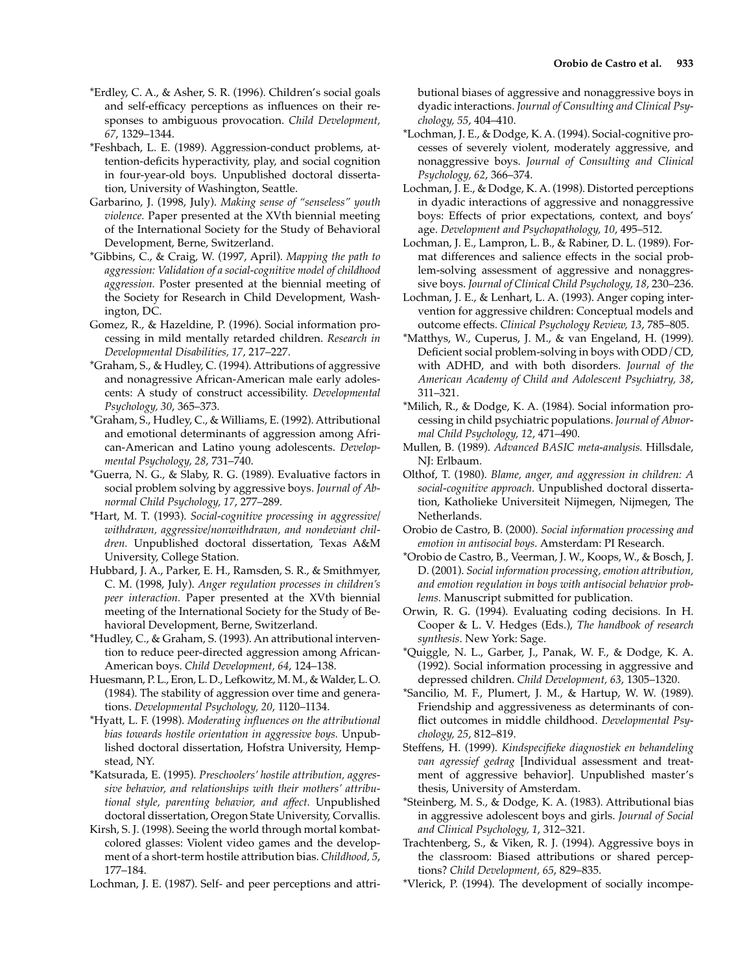- \*Erdley, C. A., & Asher, S. R. (1996). Children's social goals and self-efficacy perceptions as influences on their responses to ambiguous provocation. *Child Development, 67*, 1329–1344.
- \*Feshbach, L. E. (1989). Aggression-conduct problems, attention-deficits hyperactivity, play, and social cognition in four-year-old boys. Unpublished doctoral dissertation, University of Washington, Seattle.
- Garbarino, J. (1998, July). *Making sense of "senseless" youth violence.* Paper presented at the XVth biennial meeting of the International Society for the Study of Behavioral Development, Berne, Switzerland.
- \*Gibbins, C., & Craig, W. (1997, April). *Mapping the path to aggression: Validation of a social-cognitive model of childhood aggression.* Poster presented at the biennial meeting of the Society for Research in Child Development, Washington, DC.
- Gomez, R., & Hazeldine, P. (1996). Social information processing in mild mentally retarded children. *Research in Developmental Disabilities, 17*, 217–227.
- \*Graham, S., & Hudley, C. (1994). Attributions of aggressive and nonagressive African-American male early adolescents: A study of construct accessibility. *Developmental Psychology, 30*, 365–373.
- \*Graham, S., Hudley, C., & Williams, E. (1992). Attributional and emotional determinants of aggression among African-American and Latino young adolescents. *Developmental Psychology, 28*, 731–740.
- \*Guerra, N. G., & Slaby, R. G. (1989). Evaluative factors in social problem solving by aggressive boys. *Journal of Abnormal Child Psychology, 17*, 277–289.
- \*Hart, M. T. (1993). *Social-cognitive processing in aggressive/ withdrawn, aggressive/nonwithdrawn, and nondeviant children.* Unpublished doctoral dissertation, Texas A&M University, College Station.
- Hubbard, J. A., Parker, E. H., Ramsden, S. R., & Smithmyer, C. M. (1998, July). *Anger regulation processes in children's peer interaction.* Paper presented at the XVth biennial meeting of the International Society for the Study of Behavioral Development, Berne, Switzerland.
- \*Hudley, C., & Graham, S. (1993). An attributional intervention to reduce peer-directed aggression among African-American boys. *Child Development, 64*, 124–138.
- Huesmann, P. L., Eron, L. D., Lefkowitz, M. M., & Walder, L. O. (1984). The stability of aggression over time and generations. *Developmental Psychology, 20*, 1120–1134.
- \*Hyatt, L. F. (1998). *Moderating influences on the attributional bias towards hostile orientation in aggressive boys.* Unpublished doctoral dissertation, Hofstra University, Hempstead, NY.
- \*Katsurada, E. (1995). *Preschoolers' hostile attribution, aggressive behavior, and relationships with their mothers' attributional style, parenting behavior, and affect.* Unpublished doctoral dissertation, Oregon State University, Corvallis.
- Kirsh, S. J. (1998). Seeing the world through mortal kombatcolored glasses: Violent video games and the development of a short-term hostile attribution bias. *Childhood, 5*, 177–184.

Lochman, J. E. (1987). Self- and peer perceptions and attri-

butional biases of aggressive and nonaggressive boys in dyadic interactions. *Journal of Consulting and Clinical Psychology, 55*, 404–410.

- \*Lochman, J. E., & Dodge, K. A. (1994). Social-cognitive processes of severely violent, moderately aggressive, and nonaggressive boys. *Journal of Consulting and Clinical Psychology, 62*, 366–374.
- Lochman, J. E., & Dodge, K. A. (1998). Distorted perceptions in dyadic interactions of aggressive and nonaggressive boys: Effects of prior expectations, context, and boys' age. *Development and Psychopathology, 10*, 495–512.
- Lochman, J. E., Lampron, L. B., & Rabiner, D. L. (1989). Format differences and salience effects in the social problem-solving assessment of aggressive and nonaggressive boys. *Journal of Clinical Child Psychology, 18*, 230–236.
- Lochman, J. E., & Lenhart, L. A. (1993). Anger coping intervention for aggressive children: Conceptual models and outcome effects. *Clinical Psychology Review, 13*, 785–805.
- \*Matthys, W., Cuperus, J. M., & van Engeland, H. (1999). Deficient social problem-solving in boys with ODD/CD, with ADHD, and with both disorders. *Journal of the American Academy of Child and Adolescent Psychiatry, 38*, 311–321.
- \*Milich, R., & Dodge, K. A. (1984). Social information processing in child psychiatric populations. *Journal of Abnormal Child Psychology, 12*, 471–490.
- Mullen, B. (1989). *Advanced BASIC meta-analysis.* Hillsdale, NJ: Erlbaum.
- Olthof, T. (1980). *Blame, anger, and aggression in children: A social-cognitive approach*. Unpublished doctoral dissertation, Katholieke Universiteit Nijmegen, Nijmegen, The Netherlands.
- Orobio de Castro, B. (2000). *Social information processing and emotion in antisocial boys.* Amsterdam: PI Research.
- \*Orobio de Castro, B., Veerman, J. W., Koops, W., & Bosch, J. D. (2001). *Social information processing, emotion attribution, and emotion regulation in boys with antisocial behavior problems.* Manuscript submitted for publication.
- Orwin, R. G. (1994). Evaluating coding decisions. In H. Cooper & L. V. Hedges (Eds.), *The handbook of research synthesis*. New York: Sage.
- \*Quiggle, N. L., Garber, J., Panak, W. F., & Dodge, K. A. (1992). Social information processing in aggressive and depressed children. *Child Development, 63*, 1305–1320.
- \*Sancilio, M. F., Plumert, J. M., & Hartup, W. W. (1989). Friendship and aggressiveness as determinants of conflict outcomes in middle childhood. *Developmental Psychology, 25*, 812–819.
- Steffens, H. (1999). *Kindspecifieke diagnostiek en behandeling van agressief gedrag* [Individual assessment and treatment of aggressive behavior]. Unpublished master's thesis, University of Amsterdam.
- \*Steinberg, M. S., & Dodge, K. A. (1983). Attributional bias in aggressive adolescent boys and girls. *Journal of Social and Clinical Psychology, 1*, 312–321.
- Trachtenberg, S., & Viken, R. J. (1994). Aggressive boys in the classroom: Biased attributions or shared perceptions? *Child Development, 65*, 829–835.
- \*Vlerick, P. (1994). The development of socially incompe-